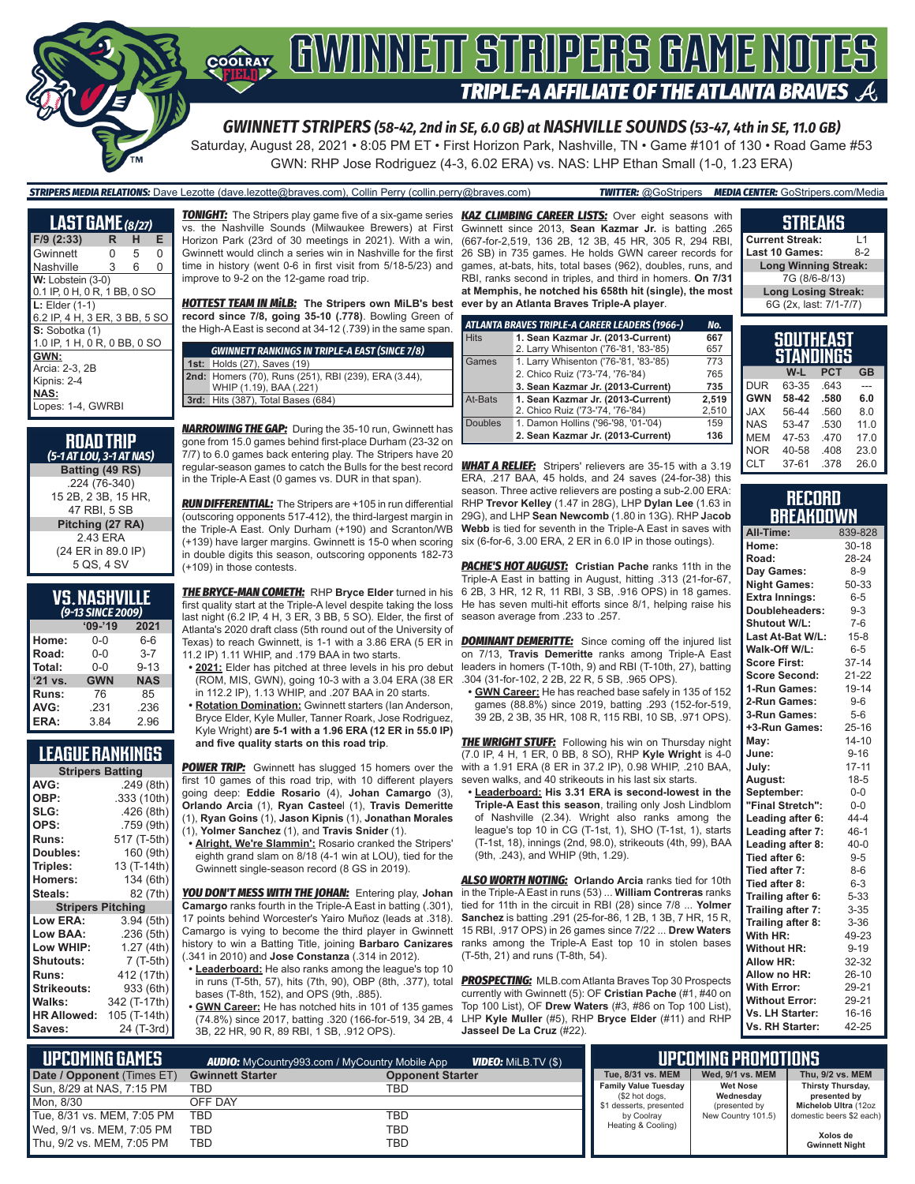

*GWINNETT STRIPERS (58-42, 2nd in SE, 6.0 GB) at NASHVILLE SOUNDS (53-47, 4th in SE, 11.0 GB)*

Saturday, August 28, 2021 • 8:05 PM ET • First Horizon Park, Nashville, TN • Game #101 of 130 • Road Game #53 GWN: RHP Jose Rodriguez (4-3, 6.02 ERA) vs. NAS: LHP Ethan Small (1-0, 1.23 ERA)

#### *STRIPERS MEDIA RELATIONS:* Dave Lezotte (dave.lezotte@braves.com), Collin Perry (collin.perry@braves.com) *TWITTER:* @GoStripers *MEDIA CENTER:* GoStripers.com/Media

| <b>LAST GAME</b> $(a/27)$     |   |   |   |
|-------------------------------|---|---|---|
| $F/9$ (2:33)                  | R | н | Е |
| Gwinnett                      | 0 | 5 | 0 |
| Nashville                     | 3 | 6 | 0 |
| W: Lobstein (3-0)             |   |   |   |
| 0.1 IP, 0 H, 0 R, 1 BB, 0 SO  |   |   |   |
| $L:$ Elder $(1-1)$            |   |   |   |
| 6.2 IP, 4 H, 3 ER, 3 BB, 5 SO |   |   |   |
| S: Sobotka (1)                |   |   |   |
| 1.0 IP, 1 H, 0 R, 0 BB, 0 SO  |   |   |   |
| GWN:                          |   |   |   |
| Arcia: 2-3, 2B                |   |   |   |
| Kipnis: 2-4                   |   |   |   |
| NAS:                          |   |   |   |
| Lopes: 1-4, GWRBI             |   |   |   |

| <b>ROAD TRIP</b><br>(5-1 AT LOU, 3-1 AT NAS) |
|----------------------------------------------|
| Batting (49 RS)                              |
| .224 (76-340)                                |
| 15 2B, 2 3B, 15 HR,                          |
| 47 RBI. 5 SB                                 |
| Pitching (27 RA)                             |
| 243 FRA                                      |
| (24 ER in 89.0 IP)                           |
| 5 QS, 4 SV                                   |

#### **VS. NASHVILLE**  *(9-13 SINCE 2009)*

| ------     |            |  |  |  |  |  |
|------------|------------|--|--|--|--|--|
| $09 - 19$  | 2021       |  |  |  |  |  |
| $0 - 0$    | 6-6        |  |  |  |  |  |
| $0 - 0$    | $3 - 7$    |  |  |  |  |  |
| $0 - 0$    | $9 - 13$   |  |  |  |  |  |
| <b>GWN</b> | <b>NAS</b> |  |  |  |  |  |
| 76         | 85         |  |  |  |  |  |
| .231       | .236       |  |  |  |  |  |
| 3.84       | 2.96       |  |  |  |  |  |
|            |            |  |  |  |  |  |

#### **LEAGUE RANKINGS**

| <b>Stripers Batting</b> |                 |  |  |  |  |  |
|-------------------------|-----------------|--|--|--|--|--|
| AVG:                    | .249 (8th)      |  |  |  |  |  |
| OBP:                    | .333 (10th)     |  |  |  |  |  |
| SLG:                    | .426(8th)       |  |  |  |  |  |
| OPS:                    | .759 (9th)      |  |  |  |  |  |
| <b>Runs:</b>            | 517 (T-5th)     |  |  |  |  |  |
| Doubles:                | 160 (9th)       |  |  |  |  |  |
| Triples:                | 13 (T-14th)     |  |  |  |  |  |
| <b>Homers:</b>          | 134 (6th)       |  |  |  |  |  |
| Steals:                 | 82 (7th)        |  |  |  |  |  |
| <b>Stripers</b>         | <b>Pitching</b> |  |  |  |  |  |
| <b>Low ERA:</b>         | 3.94 (5th)      |  |  |  |  |  |
| Low BAA:                | .236 (5th)      |  |  |  |  |  |
| Low WHIP:               | 1.27 (4th)      |  |  |  |  |  |
| <b>Shutouts:</b>        | 7 (T-5th)       |  |  |  |  |  |
| <b>Runs:</b>            | 412 (17th)      |  |  |  |  |  |
| <b>Strikeouts:</b>      | 933 (6th)       |  |  |  |  |  |
| Walks:                  | 342 (T-17th)    |  |  |  |  |  |
| <b>HR Allowed:</b>      | 105 (T-14th)    |  |  |  |  |  |
| Saves:                  | 24 (T-3rd)      |  |  |  |  |  |

vs. the Nashville Sounds (Milwaukee Brewers) at First Horizon Park (23rd of 30 meetings in 2021). With a win, Gwinnett would clinch a series win in Nashville for the first time in history (went 0-6 in first visit from 5/18-5/23) and improve to 9-2 on the 12-game road trip.

*HOTTEST TEAM IN MiLB:* **The Stripers own MiLB's best record since 7/8, going 35-10 (.778)**. Bowling Green of the High-A East is second at 34-12 (.739) in the same span.

| <b>GWINNETT RANKINGS IN TRIPLE-A EAST (SINCE 7/8)</b> |
|-------------------------------------------------------|
| <b>1st: Holds (27), Saves (19)</b>                    |
| 2nd: Homers (70), Runs (251), RBI (239), ERA (3.44),  |
| WHIP (1.19), BAA (.221)                               |
| <b>3rd:</b> Hits (387), Total Bases (684)             |
|                                                       |

*NARROWING THE GAP:* During the 35-10 run, Gwinnett has gone from 15.0 games behind first-place Durham (23-32 on 7/7) to 6.0 games back entering play. The Stripers have 20 regular-season games to catch the Bulls for the best record in the Triple-A East (0 games vs. DUR in that span).

*RUN DIFFERENTIAL:* The Stripers are +105 in run differential (outscoring opponents 517-412), the third-largest margin in the Triple-A East. Only Durham (+190) and Scranton/WB (+139) have larger margins. Gwinnett is 15-0 when scoring in double digits this season, outscoring opponents 182-73 (+109) in those contests.

*THE BRYCE-MAN COMETH:* RHP **Bryce Elder** turned in his first quality start at the Triple-A level despite taking the loss last night (6.2 IP, 4 H, 3 ER, 3 BB, 5 SO). Elder, the first of Atlanta's 2020 draft class (5th round out of the University of 11.2 IP) 1.11 WHIP, and .179 BAA in two starts.

- (ROM, MIS, GWN), going 10-3 with a 3.04 ERA (38 ER in 112.2 IP), 1.13 WHIP, and .207 BAA in 20 starts.
- **• Rotation Domination:** Gwinnett starters (Ian Anderson, Bryce Elder, Kyle Muller, Tanner Roark, Jose Rodriguez, Kyle Wright) **are 5-1 with a 1.96 ERA (12 ER in 55.0 IP) and five quality starts on this road trip**.

*POWER TRIP:* Gwinnett has slugged 15 homers over the first 10 games of this road trip, with 10 different players going deep: **Eddie Rosario** (4), **Johan Camargo** (3), **Orlando Arcia** (1), **Ryan Castee**l (1), **Travis Demeritte** (1), **Ryan Goins** (1), **Jason Kipnis** (1), **Jonathan Morales** (1), **Yolmer Sanchez** (1), and **Travis Snider** (1).

**• Alright, We're Slammin':** Rosario cranked the Stripers' eighth grand slam on 8/18 (4-1 win at LOU), tied for the Gwinnett single-season record (8 GS in 2019).

*YOU DON'T MESS WITH THE JOHAN:* Entering play, **Johan Camargo** ranks fourth in the Triple-A East in batting (.301), 17 points behind Worcester's Yairo Muñoz (leads at .318). Camargo is vying to become the third player in Gwinnett history to win a Batting Title, joining **Barbaro Canizares** (.341 in 2010) and **Jose Constanza** (.314 in 2012).

**• Leaderboard:** He also ranks among the league's top 10 in runs (T-5th, 57), hits (7th, 90), OBP (8th, .377), total bases (T-8th, 152), and OPS (9th, .885).

**• GWN Career:** He has notched hits in 101 of 135 games (74.8%) since 2017, batting .320 (166-for-519, 34 2B, 4 3B, 22 HR, 90 R, 89 RBI, 1 SB, .912 OPS).

*TONIGHT:* The Stripers play game five of a six-game series *KAZ CLIMBING CAREER LISTS:* Over eight seasons with Gwinnett since 2013, **Sean Kazmar Jr.** is batting .265 (667-for-2,519, 136 2B, 12 3B, 45 HR, 305 R, 294 RBI, 26 SB) in 735 games. He holds GWN career records for games, at-bats, hits, total bases (962), doubles, runs, and RBI, ranks second in triples, and third in homers. **On 7/31 at Memphis, he notched his 658th hit (single), the most ever by an Atlanta Braves Triple-A player**.

|                | ATLANTA BRAVES TRIPLE-A CAREER LEADERS (1966-) | No.   |
|----------------|------------------------------------------------|-------|
| <b>Hits</b>    | 1. Sean Kazmar Jr. (2013-Current)              | 667   |
|                | 2. Larry Whisenton ('76-'81, '83-'85)          | 657   |
| Games          | 1. Larry Whisenton ('76-'81, '83-'85)          | 773   |
|                | 2. Chico Ruiz ('73-'74, '76-'84)               | 765   |
|                | 3. Sean Kazmar Jr. (2013-Current)              | 735   |
| At-Bats        | 1. Sean Kazmar Jr. (2013-Current)              | 2.519 |
|                | 2. Chico Ruiz ('73-'74, '76-'84)               | 2,510 |
| <b>Doubles</b> | 1. Damon Hollins ('96-'98, '01-'04)            | 159   |
|                | 2. Sean Kazmar Jr. (2013-Current)              | 136   |

**WHAT A RELIEF:** Stripers' relievers are 35-15 with a 3.19 CLT ERA, .217 BAA, 45 holds, and 24 saves (24-for-38) this season. Three active relievers are posting a sub-2.00 ERA: RHP **Trevor Kelley** (1.47 in 28G), LHP **Dylan Lee** (1.63 in 29G), and LHP **Sean Newcomb** (1.80 in 13G). RHP **J**a**cob Webb** is tied for seventh in the Triple-A East in saves with six (6-for-6, 3.00 ERA, 2 ER in 6.0 IP in those outings).

*PACHE'S HOT AUGUST:* **Cristian Pache** ranks 11th in the Triple-A East in batting in August, hitting .313 (21-for-67, 6 2B, 3 HR, 12 R, 11 RBI, 3 SB, .916 OPS) in 18 games. He has seven multi-hit efforts since 8/1, helping raise his season average from .233 to .257.

Texas) to reach Gwinnett, is 1-1 with a 3.86 ERA (5 ER in *DOMINANT DEMERITTE:* Since coming off the injured list **• 2021:** Elder has pitched at three levels in his pro debut leaders in homers (T-10th, 9) and RBI (T-10th, 27), batting on 7/13, **Travis Demeritte** ranks among Triple-A East .304 (31-for-102, 2 2B, 22 R, 5 SB, .965 OPS).

> **• GWN Career:** He has reached base safely in 135 of 152 games (88.8%) since 2019, batting .293 (152-for-519, 39 2B, 2 3B, 35 HR, 108 R, 115 RBI, 10 SB, .971 OPS).

**THE WRIGHT STUFF:** Following his win on Thursday night (7.0 IP, 4 H, 1 ER, 0 BB, 8 SO), RHP **Kyle Wright** is 4-0 with a 1.91 ERA (8 ER in 37.2 IP), 0.98 WHIP, .210 BAA, seven walks, and 40 strikeouts in his last six starts.

**• Leaderboard: His 3.31 ERA is second-lowest in the Triple-A East this season**, trailing only Josh Lindblom of Nashville (2.34). Wright also ranks among the league's top 10 in CG (T-1st, 1), SHO (T-1st, 1), starts (T-1st, 18), innings (2nd, 98.0), strikeouts (4th, 99), BAA (9th, .243), and WHIP (9th, 1.29).

*ALSO WORTH NOTING:* **Orlando Arcia** ranks tied for 10th in the Triple-A East in runs (53) ... **William Contreras** ranks tied for 11th in the circuit in RBI (28) since 7/8 ... **Yolmer Sanchez** is batting .291 (25-for-86, 1 2B, 1 3B, 7 HR, 15 R, 15 RBI, .917 OPS) in 26 games since 7/22 ... **Drew Waters** ranks among the Triple-A East top 10 in stolen bases (T-5th, 21) and runs (T-8th, 54).

*PROSPECTING:* MLB.com Atlanta Braves Top 30 Prospects currently with Gwinnett (5): OF **Cristian Pache** (#1, #40 on Top 100 List), OF **Drew Waters** (#3, #86 on Top 100 List), LHP **Kyle Muller** (#5), RHP **Bryce Elder** (#11) and RHP **Jasseel De La Cruz** (#22).

#### **STREAKS Current Streak:** L1 **Last 10 Games:**

**Long Winning Streak:** 7G (8/6-8/13) **Long Losing Streak:** 6G (2x, last: 7/1-7/7)

| SOUTHEAST<br>STANDINGS |       |            |           |  |  |  |
|------------------------|-------|------------|-----------|--|--|--|
|                        | W-L   | <b>PCT</b> | <b>GB</b> |  |  |  |
| <b>DUR</b>             | 63-35 | .643       |           |  |  |  |
| <b>GWN</b>             | 58-42 | .580       | 6.0       |  |  |  |
| XAL                    | 56-44 | .560       | 8.0       |  |  |  |
| <b>NAS</b>             | 53-47 | .530       | 11.0      |  |  |  |
| <b>MEM</b>             | 47-53 | .470       | 17.0      |  |  |  |
| <b>NOR</b>             | 40-58 | .408       | 23.0      |  |  |  |
| <b>CLT</b>             | 37-61 | .378       | 26.0      |  |  |  |

#### **RECORD BREAKDOWN**

| All-Time:             | 839-828   |
|-----------------------|-----------|
| Home:                 | $30 - 18$ |
| Road:                 | 28-24     |
| Day Games:            | $8 - 9$   |
| <b>Night Games:</b>   | 50-33     |
| <b>Extra Innings:</b> | $6 - 5$   |
| Doubleheaders:        | $9 - 3$   |
| Shutout W/L:          | $7-6$     |
| Last At-Bat W/L:      | $15 - 8$  |
| Walk-Off W/L:         | $6 - 5$   |
| <b>Score First:</b>   | $37 - 14$ |
| <b>Score Second:</b>  | $21 - 22$ |
| 1-Run Games:          | 19-14     |
| 2-Run Games:          | $9 - 6$   |
| 3-Run Games:          | $5 - 6$   |
| +3-Run Games:         | $25 - 16$ |
| May:                  | $14 - 10$ |
| June:                 | $9 - 16$  |
| July:                 | $17 - 11$ |
| August:               | $18 - 5$  |
| September:            | $0-0$     |
| "Final Stretch":      | $0-0$     |
| Leading after 6:      | $44 - 4$  |
| Leading after 7:      | $46 - 1$  |
| Leading after 8:      | $40 - 0$  |
| Tied after 6:         | $9 - 5$   |
| Tied after 7:         | $8-6$     |
| Tied after 8:         | $6 - 3$   |
| Trailing after 6:     | $5 - 33$  |
| Trailing after 7:     | $3 - 35$  |
| Trailing after 8:     | $3 - 36$  |
| With HR:              | 49-23     |
| <b>Without HR:</b>    | $9 - 19$  |
| <b>Allow HR:</b>      | 32-32     |
| Allow no HR:          | $26 - 10$ |
| <b>With Error:</b>    | 29-21     |
| <b>Without Error:</b> | 29-21     |
| Vs. LH Starter:       | $16 - 16$ |
| Vs. RH Starter:       | 42-25     |

| I UPCOMIÑG GAMES I<br><b>VIDEO:</b> MiLB.TV (\$)<br><b>AUDIO:</b> MyCountry993.com / MyCountry Mobile App |                         |                         | <b>UPCOMING PROMOTIONS</b> |                                               |                              |                                   |
|-----------------------------------------------------------------------------------------------------------|-------------------------|-------------------------|----------------------------|-----------------------------------------------|------------------------------|-----------------------------------|
| Date / Opponent (Times ET)                                                                                | <b>Gwinnett Starter</b> | <b>Opponent Starter</b> |                            | Tue, 8/31 vs. MEM                             | Wed, 9/1 vs. MEM             | Thu, 9/2 vs. MEM                  |
| Sun, 8/29 at NAS, 7:15 PM                                                                                 | TBD                     | TBD                     |                            | <b>Family Value Tuesday</b><br>(\$2 hot dogs, | <b>Wet Nose</b><br>Wednesday | Thirsty Thursday,<br>presented by |
| Mon. 8/30                                                                                                 | OFF DAY                 |                         |                            | \$1 desserts, presented                       | (presented by                | Michelob Ultra (12oz              |
| Tue, 8/31 vs. MEM, 7:05 PM                                                                                | TBD                     | TBD                     |                            | by Coolrav                                    | New Country 101.5)           | domestic beers \$2 each)          |
| Wed, 9/1 vs. MEM, 7:05 PM                                                                                 | TBD                     | TBD                     |                            | Heating & Cooling)                            |                              | Xolos de                          |
| Thu, 9/2 vs. MEM, 7:05 PM                                                                                 | TBD                     | TBD                     |                            |                                               |                              | <b>Gwinnett Night</b>             |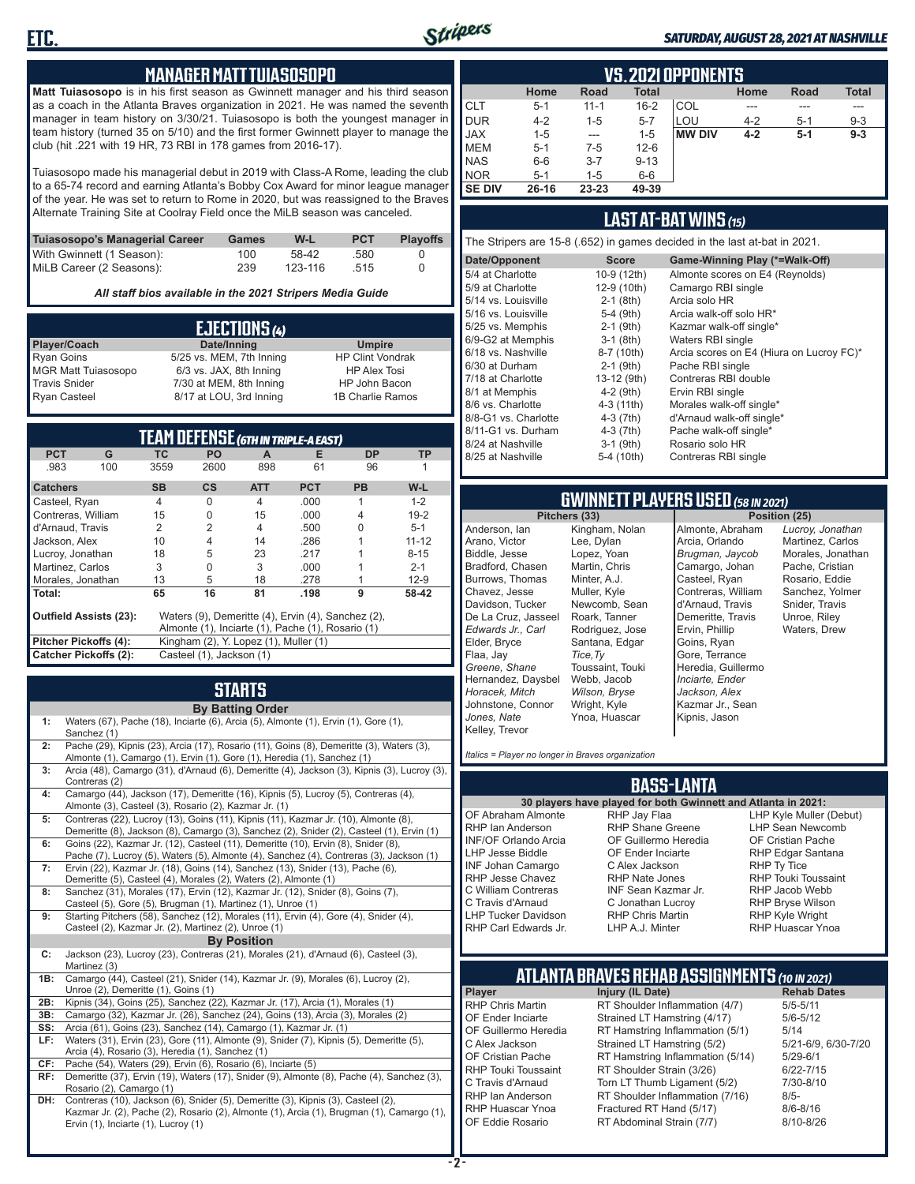

#### *SATURDAY, AUGUST 28, 2021 AT NASHVILLE*

#### **MANAGER MATT TUIASOSOPO**

**Matt Tuiasosopo** is in his first season as Gwinnett manager and his third season as a coach in the Atlanta Braves organization in 2021. He was named the seventh manager in team history on 3/30/21. Tuiasosopo is both the youngest manager in team history (turned 35 on 5/10) and the first former Gwinnett player to manage the club (hit .221 with 19 HR, 73 RBI in 178 games from 2016-17).

Tuiasosopo made his managerial debut in 2019 with Class-A Rome, leading the club to a 65-74 record and earning Atlanta's Bobby Cox Award for minor league manager of the year. He was set to return to Rome in 2020, but was reassigned to the Braves Alternate Training Site at Coolray Field once the MiLB season was canceled.

| Tuiasosopo's Managerial Career | Games | W-L     | <b>PCT</b> | <b>Plavoffs</b> |
|--------------------------------|-------|---------|------------|-----------------|
| With Gwinnett (1 Season):      | 100   | 58-42   | .580       |                 |
| MiLB Career (2 Seasons):       | 239   | 123-116 | .515       |                 |

*All staff bios available in the 2021 Stripers Media Guide*

| EJECTIONS (4)              |                          |                         |  |  |  |
|----------------------------|--------------------------|-------------------------|--|--|--|
| Player/Coach               | Date/Inning              | <b>Umpire</b>           |  |  |  |
| <b>Ryan Goins</b>          | 5/25 vs. MEM, 7th Inning | <b>HP Clint Vondrak</b> |  |  |  |
| <b>MGR Matt Tuiasosopo</b> | 6/3 vs. JAX, 8th Inning  | <b>HP Alex Tosi</b>     |  |  |  |
| <b>Travis Snider</b>       | 7/30 at MEM, 8th Inning  | HP John Bacon           |  |  |  |
| <b>Ryan Casteel</b>        | 8/17 at LOU, 3rd Inning  | 1B Charlie Ramos        |  |  |  |

| <b>TEAM DEFENSE (GTH IN TRIPLE-A EAST)</b> |                                                                                     |                                                   |                                       |                |            |           |           |
|--------------------------------------------|-------------------------------------------------------------------------------------|---------------------------------------------------|---------------------------------------|----------------|------------|-----------|-----------|
| <b>PCT</b>                                 | G                                                                                   | <b>TC</b>                                         | <b>PO</b>                             | A              | Е          | <b>DP</b> | <b>TP</b> |
| .983                                       | 100                                                                                 | 3559                                              | 2600                                  | 898            | 61         | 96        |           |
| <b>Catchers</b>                            |                                                                                     | <b>SB</b>                                         | $\mathsf{cs}$                         | <b>ATT</b>     | <b>PCT</b> | <b>PB</b> | W-L       |
| Casteel, Ryan                              |                                                                                     | $\overline{4}$                                    | $\Omega$                              | $\overline{4}$ | .000       | 1         | $1 - 2$   |
| Contreras, William                         |                                                                                     | 15                                                | $\Omega$                              | 15             | .000       | 4         | $19 - 2$  |
|                                            | $\overline{2}$<br>d'Arnaud, Travis<br>.500<br>$5 - 1$<br>2<br>$\overline{4}$<br>U   |                                                   |                                       |                |            |           |           |
|                                            | $11 - 12$<br>10<br>14<br>.286<br>Jackson, Alex<br>$\overline{4}$                    |                                                   |                                       |                |            |           |           |
| Lucroy, Jonathan                           | 18<br>5<br>23<br>.217<br>$8 - 15$                                                   |                                                   |                                       |                |            |           |           |
| Martinez. Carlos                           |                                                                                     | 3                                                 | $\Omega$                              | 3              | .000       |           | $2 - 1$   |
| Morales, Jonathan                          |                                                                                     | 13                                                | 5                                     | 18             | .278       |           | $12-9$    |
| Total:                                     |                                                                                     | 65                                                | 16                                    | 81             | .198       | 9         | 58-42     |
|                                            | <b>Outfield Assists (23):</b><br>Waters (9), Demeritte (4), Ervin (4), Sanchez (2), |                                                   |                                       |                |            |           |           |
|                                            |                                                                                     | Almonte (1), Inciarte (1), Pache (1), Rosario (1) |                                       |                |            |           |           |
| Pitcher Pickoffs (4):                      |                                                                                     |                                                   | Kingham (2), Y. Lopez (1), Muller (1) |                |            |           |           |
| <b>Catcher Pickoffs (2):</b>               |                                                                                     | Casteel (1), Jackson (1)                          |                                       |                |            |           |           |

# **STARTS**

|     | <b>By Batting Order</b>                                                                                                                                                                                              |
|-----|----------------------------------------------------------------------------------------------------------------------------------------------------------------------------------------------------------------------|
| 1:  | Waters (67), Pache (18), Inciarte (6), Arcia (5), Almonte (1), Ervin (1), Gore (1),<br>Sanchez (1)                                                                                                                   |
| 2:  | Pache (29), Kipnis (23), Arcia (17), Rosario (11), Goins (8), Demeritte (3), Waters (3),<br>Almonte (1), Camargo (1), Ervin (1), Gore (1), Heredia (1), Sanchez (1)                                                  |
| 3:  | Arcia (48), Camargo (31), d'Arnaud (6), Demeritte (4), Jackson (3), Kipnis (3), Lucroy (3),<br>Contreras (2)                                                                                                         |
| 4:  | Camargo (44), Jackson (17), Demeritte (16), Kipnis (5), Lucroy (5), Contreras (4),<br>Almonte (3), Casteel (3), Rosario (2), Kazmar Jr. (1)                                                                          |
| 5:  | Contreras (22), Lucroy (13), Goins (11), Kipnis (11), Kazmar Jr. (10), Almonte (8),<br>Demeritte (8), Jackson (8), Camargo (3), Sanchez (2), Snider (2), Casteel (1), Ervin (1)                                      |
| 6:  | Goins (22), Kazmar Jr. (12), Casteel (11), Demeritte (10), Ervin (8), Snider (8),<br>Pache (7), Lucroy (5), Waters (5), Almonte (4), Sanchez (4), Contreras (3), Jackson (1)                                         |
| 7:  | Ervin (22), Kazmar Jr. (18), Goins (14), Sanchez (13), Snider (13), Pache (6),<br>Demeritte (5), Casteel (4), Morales (2), Waters (2), Almonte (1)                                                                   |
| 8:  | Sanchez (31), Morales (17), Ervin (12), Kazmar Jr. (12), Snider (8), Goins (7),<br>Casteel (5), Gore (5), Brugman (1), Martinez (1), Unroe (1)                                                                       |
| 9:  | Starting Pitchers (58), Sanchez (12), Morales (11), Ervin (4), Gore (4), Snider (4),<br>Casteel (2), Kazmar Jr. (2), Martinez (2), Unroe (1)                                                                         |
|     | <b>By Position</b>                                                                                                                                                                                                   |
| C:  | Jackson (23), Lucroy (23), Contreras (21), Morales (21), d'Arnaud (6), Casteel (3),<br>Martinez (3)                                                                                                                  |
| 1B: | Camargo (44), Casteel (21), Snider (14), Kazmar Jr. (9), Morales (6), Lucroy (2),<br>Unroe (2), Demeritte (1), Goins (1)                                                                                             |
| 2B: | Kipnis (34), Goins (25), Sanchez (22), Kazmar Jr. (17), Arcia (1), Morales (1)                                                                                                                                       |
| 3B: | Camargo (32), Kazmar Jr. (26), Sanchez (24), Goins (13), Arcia (3), Morales (2)                                                                                                                                      |
| SS: | Arcia (61), Goins (23), Sanchez (14), Camargo (1), Kazmar Jr. (1)                                                                                                                                                    |
| LF: | Waters (31), Ervin (23), Gore (11), Almonte (9), Snider (7), Kipnis (5), Demeritte (5),<br>Arcia (4), Rosario (3), Heredia (1), Sanchez (1)                                                                          |
| CF: | Pache (54), Waters (29), Ervin (6), Rosario (6), Inciarte (5)                                                                                                                                                        |
| RF: | Demeritte (37), Ervin (19), Waters (17), Snider (9), Almonte (8), Pache (4), Sanchez (3),<br>Rosario (2), Camargo (1)                                                                                                |
| DH: | Contreras (10), Jackson (6), Snider (5), Demeritte (3), Kipnis (3), Casteel (2),<br>Kazmar Jr. (2), Pache (2), Rosario (2), Almonte (1), Arcia (1), Brugman (1), Camargo (1),<br>Ervin (1), Inciarte (1), Lucroy (1) |

|               | <b>VS. 2021 OPPONENTS</b>                                    |           |          |               |         |       |         |  |  |  |  |  |  |  |  |
|---------------|--------------------------------------------------------------|-----------|----------|---------------|---------|-------|---------|--|--|--|--|--|--|--|--|
|               | <b>Total</b><br><b>Total</b><br>Home<br>Road<br>Home<br>Road |           |          |               |         |       |         |  |  |  |  |  |  |  |  |
| <b>CLT</b>    | $5 - 1$                                                      | $11 - 1$  | $16 - 2$ | COL           |         |       |         |  |  |  |  |  |  |  |  |
| <b>DUR</b>    | $4 - 2$                                                      | $1 - 5$   | $5 - 7$  | LOU           | $4 - 2$ | $5-1$ | $9 - 3$ |  |  |  |  |  |  |  |  |
| <b>JAX</b>    | $1 - 5$                                                      | $- - -$   | $1 - 5$  | <b>MW DIV</b> | $4 - 2$ | $5-1$ | $9 - 3$ |  |  |  |  |  |  |  |  |
| <b>MEM</b>    | $5 - 1$                                                      | $7-5$     | $12 - 6$ |               |         |       |         |  |  |  |  |  |  |  |  |
| <b>NAS</b>    | $6-6$                                                        | $3 - 7$   | $9 - 13$ |               |         |       |         |  |  |  |  |  |  |  |  |
| <b>NOR</b>    | $5 - 1$                                                      | $1 - 5$   | $6-6$    |               |         |       |         |  |  |  |  |  |  |  |  |
| <b>SE DIV</b> | 26-16                                                        | $23 - 23$ | 49-39    |               |         |       |         |  |  |  |  |  |  |  |  |

#### **LAST AT-BAT WINS** *(15)*

The Stripers are 15-8 (.652) in games decided in the last at-bat in 2021.

| Date/Opponent        | <b>Score</b> | Game-Winning Play (*=Walk-Off)           |
|----------------------|--------------|------------------------------------------|
| 5/4 at Charlotte     | 10-9 (12th)  | Almonte scores on E4 (Reynolds)          |
| 5/9 at Charlotte     | 12-9 (10th)  | Camargo RBI single                       |
| 5/14 vs. Louisville  | $2-1$ (8th)  | Arcia solo HR                            |
| 5/16 vs. Louisville  | $5-4$ (9th)  | Arcia walk-off solo HR*                  |
| 5/25 vs. Memphis     | $2-1$ (9th)  | Kazmar walk-off single*                  |
| 6/9-G2 at Memphis    | $3-1$ (8th)  | Waters RBI single                        |
| 6/18 vs. Nashville   | 8-7 (10th)   | Arcia scores on E4 (Hiura on Lucroy FC)* |
| 6/30 at Durham       | $2-1$ (9th)  | Pache RBI single                         |
| 7/18 at Charlotte    | 13-12 (9th)  | Contreras RBI double                     |
| 8/1 at Memphis       | $4-2$ (9th)  | Ervin RBI single                         |
| 8/6 vs. Charlotte    | $4-3(11th)$  | Morales walk-off single*                 |
| 8/8-G1 vs. Charlotte | $4-3(7th)$   | d'Arnaud walk-off single*                |
| 8/11-G1 vs. Durham   | $4-3$ (7th)  | Pache walk-off single*                   |
| 8/24 at Nashville    | $3-1$ (9th)  | Rosario solo HR                          |
| 8/25 at Nashville    | 5-4 (10th)   | Contreras RBI single                     |
|                      |              |                                          |

# **GWINNETT PLAYERS USED** *(58 IN 2021)*

**Pitchers (33)** Anderson, Ian Arano, Victor Biddle, Jesse Bradford, Chasen Burrows, Thomas Chavez, Jesse Davidson, Tucker De La Cruz, Jasseel *Edwards Jr., Carl* Elder, Bryce Flaa, Jay *Greene, Shane*  Hernandez, Daysbel *Horacek, Mitch* Johnstone, Connor *Jones, Nate* Kelley, Trevor Kingham, Nolan Lee, Dylan Lopez, Yoan Martin, Chris Minter, A.J. Muller, Kyle Newcomb, Sean Roark, Tanner Rodriguez, Jose Santana, Edgar *Tice,Ty* Toussaint, Touki Webb, Jacob *Wilson, Bryse* Wright, Kyle Ynoa, Huascar

Almonte, Abraham Arcia, Orlando *Brugman, Jaycob* Camargo, Johan Casteel, Ryan Contreras, William d'Arnaud, Travis Demeritte, Travis Ervin, Phillip Goins, Ryan Gore, Terrance Heredia, Guillermo *Inciarte, Ender Jackson, Alex* Kazmar Jr., Sean Kipnis, Jason

*Lucroy, Jonathan* Martinez, Carlos Morales, Jonathan Pache, Cristian Rosario, Eddie Sanchez, Yolmer Snider, Travis Unroe, Riley Waters, Drew

*Italics = Player no longer in Braves organization*

#### **BASS-LANTA**

**30 players have played for both Gwinnett and Atlanta in 2021:** OF Abraham Almonte RHP Ian Anderson INF/OF Orlando Arcia LHP Jesse Biddle INF Johan Camargo RHP Jesse Chavez C William Contreras C Travis d'Arnaud LHP Tucker Davidson

RHP Jay Flaa RHP Shane Greene OF Guillermo Heredia OF Ender Inciarte C Alex Jackson RHP Nate Jones INF Sean Kazmar Jr. C Jonathan Lucroy RHP Chris Martin LHP A.J. Minter

LHP Kyle Muller (Debut) LHP Sean Newcomb OF Cristian Pache RHP Edgar Santana RHP Ty Tice RHP Touki Toussaint RHP Jacob Webb RHP Bryse Wilson RHP Kyle Wright RHP Huascar Ynoa

# **ATLANTA BRAVES REHAB ASSIGNMENTS** *(10 IN 2021)*

**Player Injury (IL Date)** 

RHP Carl Edwards Jr.

RHP Chris Martin RT Shoulder Inflammation (4/7) 5/5-5/11<br>OF Ender Inciarte Strained LT Hamstring (4/17) 5/6-5/12 OF Ender Inciarte Strained LT Hamstring (4/17)<br>OF Guillermo Heredia RT Hamstring Inflammation (5) RT Hamstring Inflammation  $(5/1)$  5/14 C Alex Jackson Strained LT Hamstring (5/2) 5/21-6/9, 6/30-7/20 OF Cristian Pache RT Hamstring Inflammation (5/14) 5/29-6/1<br>RHP Touki Toussaint RT Shoulder Strain (3/26) 6/22-7/15 RHP Touki Toussaint RT Shoulder Strain (3/26) 6/22-7/15<br>C. Travis d'Arnaud C. Torn LT Thumb Ligament (5/2) 6/10-8/10 Torn LT Thumb Ligament (5/2) RHP Ian Anderson RT Shoulder Inflammation (7/16) 8/5-<br>RHP Huascar Ynoa Fractured RT Hand (5/17) 8/6-8/16 RHP Huascar Ynoa Fractured RT Hand (5/17) 8/6-8/16 RT Abdominal Strain (7/7)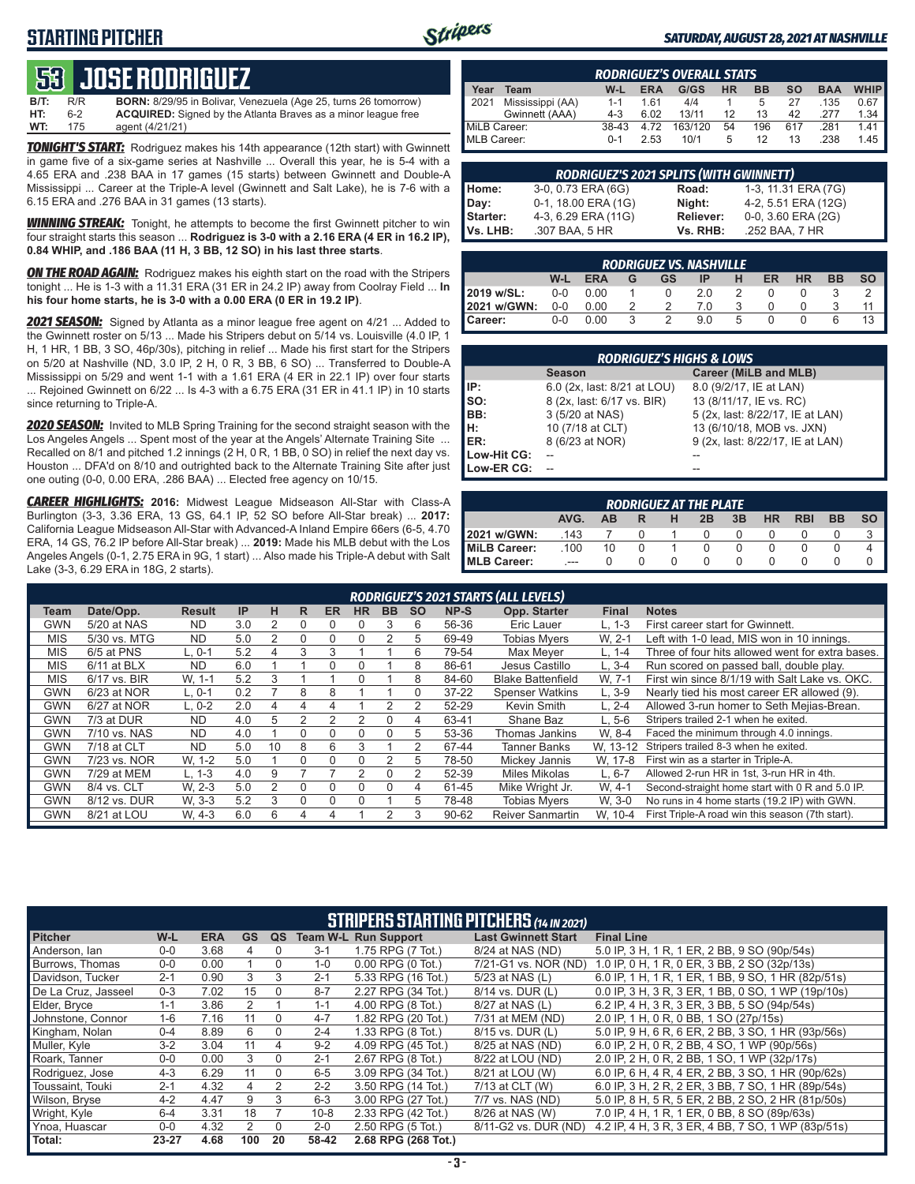### **STARTING PITCHER**



#### *SATURDAY, AUGUST 28, 2021 AT NASHVILLE*

# **53****JOSE RODRIGUEZ**

**B/T:** R/R **BORN:** 8/29/95 in Bolivar, Venezuela (Age 25, turns 26 tomorrow)<br>**HT:** 6-2 **ACQUIRED:** Signed by the Atlanta Braves as a minor league free ACQUIRED: Signed by the Atlanta Braves as a minor league free **WT:** 175 agent (4/21/21)

*TONIGHT'S START:* Rodriguez makes his 14th appearance (12th start) with Gwinnett in game five of a six-game series at Nashville ... Overall this year, he is 5-4 with a 4.65 ERA and .238 BAA in 17 games (15 starts) between Gwinnett and Double-A Mississippi ... Career at the Triple-A level (Gwinnett and Salt Lake), he is 7-6 with a 6.15 ERA and .276 BAA in 31 games (13 starts).

**WINNING STREAK:** Tonight, he attempts to become the first Gwinnett pitcher to win four straight starts this season ... **Rodriguez is 3-0 with a 2.16 ERA (4 ER in 16.2 IP), 0.84 WHIP, and .186 BAA (11 H, 3 BB, 12 SO) in his last three starts**.

**ON THE ROAD AGAIN:** Rodriguez makes his eighth start on the road with the Stripers tonight ... He is 1-3 with a 11.31 ERA (31 ER in 24.2 IP) away from Coolray Field ... **In his four home starts, he is 3-0 with a 0.00 ERA (0 ER in 19.2 IP)**.

*2021 SEASON:* Signed by Atlanta as a minor league free agent on 4/21 ... Added to the Gwinnett roster on 5/13 ... Made his Stripers debut on 5/14 vs. Louisville (4.0 IP, 1 H, 1 HR, 1 BB, 3 SO, 46p/30s), pitching in relief ... Made his first start for the Stripers on 5/20 at Nashville (ND, 3.0 IP, 2 H, 0 R, 3 BB, 6 SO) ... Transferred to Double-A Mississippi on 5/29 and went 1-1 with a 1.61 ERA (4 ER in 22.1 IP) over four starts ... Rejoined Gwinnett on 6/22 ... Is 4-3 with a 6.75 ERA (31 ER in 41.1 IP) in 10 starts since returning to Triple-A.

*2020 SEASON:* Invited to MLB Spring Training for the second straight season with the Los Angeles Angels ... Spent most of the year at the Angels' Alternate Training Site ... Recalled on 8/1 and pitched 1.2 innings (2 H, 0 R, 1 BB, 0 SO) in relief the next day vs. Houston ... DFA'd on 8/10 and outrighted back to the Alternate Training Site after just one outing (0-0, 0.00 ERA, .286 BAA) ... Elected free agency on 10/15.

*CAREER HIGHLIGHTS:* **2016:** Midwest League Midseason All-Star with Class-A Burlington (3-3, 3.36 ERA, 13 GS, 64.1 IP, 52 SO before All-Star break) ... **2017:** California League Midseason All-Star with Advanced-A Inland Empire 66ers (6-5, 4.70 ERA, 14 GS, 76.2 IP before All-Star break) ... **2019:** Made his MLB debut with the Los Angeles Angels (0-1, 2.75 ERA in 9G, 1 start) ... Also made his Triple-A debut with Salt Lake (3-3, 6.29 ERA in 18G, 2 starts).

|              | <b>RODRIGUEZ'S OVERALL STATS</b> |         |            |         |           |           |     |            |             |  |  |  |  |  |  |
|--------------|----------------------------------|---------|------------|---------|-----------|-----------|-----|------------|-------------|--|--|--|--|--|--|
| Year         | Team                             | W-L     | <b>ERA</b> | G/GS    | <b>HR</b> | <b>BB</b> | SΟ  | <b>BAA</b> | <b>WHIP</b> |  |  |  |  |  |  |
| 2021         | Mississippi (AA)                 | $1 - 1$ | 161        | 4/4     |           | 5         | 27  | .135       | 0.67        |  |  |  |  |  |  |
|              | Gwinnett (AAA)                   | $4 - 3$ | 6.02       | 13/11   | 12        | 13        | 42  | 277        | 1.34        |  |  |  |  |  |  |
| MiLB Career: |                                  | 38-43   | 4 72       | 163/120 | 54        | 196       | 617 | 281        | 1.41        |  |  |  |  |  |  |
| MLB Career:  |                                  | $0 - 1$ | 2.53       | 10/1    | 5         | 12        | 13  | 238        | 1.45        |  |  |  |  |  |  |

|          | <b>RODRIGUEZ'S 2021 SPLITS (WITH GWINNETT)</b> |           |                     |
|----------|------------------------------------------------|-----------|---------------------|
| Home:    | 3-0, 0.73 ERA (6G)                             | Road:     | 1-3, 11.31 ERA (7G) |
| Day:     | 0-1, 18.00 ERA (1G)                            | Night:    | 4-2, 5.51 ERA (12G) |
| Starter: | 4-3, 6.29 ERA (11G)                            | Reliever: | 0-0, 3.60 ERA (2G)  |
| Vs. LHB: | .307 BAA, 5 HR                                 | Vs. RHB:  | .252 BAA, 7 HR      |

|                                                                                              | <b>RODRIGUEZ VS. NASHVILLE</b> |            |   |               |     |   |  |  |   |    |  |  |  |  |  |
|----------------------------------------------------------------------------------------------|--------------------------------|------------|---|---------------|-----|---|--|--|---|----|--|--|--|--|--|
| <b>HR</b><br><b>SO</b><br><b>ER</b><br><b>BB</b><br>W-L<br><b>ERA</b><br>н<br>GS<br>IP.<br>G |                                |            |   |               |     |   |  |  |   |    |  |  |  |  |  |
| 2019 w/SL:                                                                                   |                                | $0-0$ 0.00 |   |               | 2.0 |   |  |  |   |    |  |  |  |  |  |
| 2021 w/GWN:                                                                                  | 0-0                            | 0.00       |   | $\mathcal{P}$ | 70  |   |  |  |   |    |  |  |  |  |  |
| Career:                                                                                      | $0 - 0$                        | 0.00       | ર | $\mathcal{P}$ | 9.0 | 5 |  |  | 6 | 13 |  |  |  |  |  |

|             | <b>RODRIGUEZ'S HIGHS &amp; LOWS</b> |                                  |  |  |  |  |  |  |  |  |  |  |
|-------------|-------------------------------------|----------------------------------|--|--|--|--|--|--|--|--|--|--|
|             | <b>Season</b>                       | Career (MiLB and MLB)            |  |  |  |  |  |  |  |  |  |  |
| l IP:       | 6.0 (2x, last: 8/21 at LOU)         | 8.0 (9/2/17, IE at LAN)          |  |  |  |  |  |  |  |  |  |  |
| Iso:        | 8 (2x, last: 6/17 vs. BIR)          | 13 (8/11/17, IE vs. RC)          |  |  |  |  |  |  |  |  |  |  |
| BB:         | 3 (5/20 at NAS)                     | 5 (2x, last: 8/22/17, IE at LAN) |  |  |  |  |  |  |  |  |  |  |
| Iн:         | 10 (7/18 at CLT)                    | 13 (6/10/18, MOB vs. JXN)        |  |  |  |  |  |  |  |  |  |  |
| <b>IER:</b> | 8 (6/23 at NOR)                     | 9 (2x, last: 8/22/17, IE at LAN) |  |  |  |  |  |  |  |  |  |  |
| Low-Hit CG: |                                     |                                  |  |  |  |  |  |  |  |  |  |  |
| Low-ER CG:  |                                     | --                               |  |  |  |  |  |  |  |  |  |  |

|                                                                                         | <b>RODRIGUEZ AT THE PLATE</b> |  |  |  |  |  |  |  |  |  |  |  |  |  |  |
|-----------------------------------------------------------------------------------------|-------------------------------|--|--|--|--|--|--|--|--|--|--|--|--|--|--|
| AVG.<br><b>SO</b><br><b>HR</b><br><b>RBI</b><br><b>BB</b><br>3B<br>2B<br>н<br><b>AB</b> |                               |  |  |  |  |  |  |  |  |  |  |  |  |  |  |
| 2021 w/GWN:                                                                             | 143                           |  |  |  |  |  |  |  |  |  |  |  |  |  |  |
| MiLB Career:                                                                            | .100<br>10                    |  |  |  |  |  |  |  |  |  |  |  |  |  |  |
| <b>IMLB Career:</b>                                                                     | $-$                           |  |  |  |  |  |  |  |  |  |  |  |  |  |  |

|            | RODRIGUEZ'S 2021 STARTS (ALL LEVELS)                                                                                                                   |           |     |    |   |   |   |   |   |           |                          |            |                                                  |  |  |
|------------|--------------------------------------------------------------------------------------------------------------------------------------------------------|-----------|-----|----|---|---|---|---|---|-----------|--------------------------|------------|--------------------------------------------------|--|--|
| Team       | IP<br>NP-S<br>Opp. Starter<br>Date/Opp.<br>н<br><b>ER</b><br><b>SO</b><br><b>Final</b><br><b>HR</b><br><b>BB</b><br><b>Notes</b><br><b>Result</b><br>R |           |     |    |   |   |   |   |   |           |                          |            |                                                  |  |  |
| GWN        | 5/20 at NAS                                                                                                                                            | <b>ND</b> | 3.0 |    | 0 | 0 | 0 | 3 | 6 | 56-36     | Eric Lauer               | $L, 1-3$   | First career start for Gwinnett.                 |  |  |
| <b>MIS</b> | 5/30 vs. MTG                                                                                                                                           | <b>ND</b> | 5.0 | 2  | 0 | 0 | 0 | 2 | 5 | 69-49     | <b>Tobias Mvers</b>      | W. 2-1     | Left with 1-0 lead. MIS won in 10 innings.       |  |  |
| <b>MIS</b> | 6/5 at PNS                                                                                                                                             | $L.0-1$   | 5.2 | 4  | 3 | 3 |   |   | 6 | 79-54     | Max Mever                | $L. 1 - 4$ | Three of four hits allowed went for extra bases. |  |  |
| <b>MIS</b> | $6/11$ at BLX                                                                                                                                          | <b>ND</b> | 6.0 |    |   | 0 | O |   | 8 | 86-61     | Jesus Castillo           | $L.3 - 4$  | Run scored on passed ball, double play.          |  |  |
| <b>MIS</b> | 6/17 vs. BIR                                                                                                                                           | W. 1-1    | 5.2 | 3  |   |   | 0 |   | 8 | 84-60     | <b>Blake Battenfield</b> | W. 7-1     | First win since 8/1/19 with Salt Lake vs. OKC.   |  |  |
| GWN        | 6/23 at NOR                                                                                                                                            | $L.0-1$   | 0.2 |    | 8 | 8 |   |   |   | $37 - 22$ | <b>Spenser Watkins</b>   | $L.3-9$    | Nearly tied his most career ER allowed (9).      |  |  |
| GWN        | 6/27 at NOR                                                                                                                                            | $L. 0-2$  | 2.0 | 4  | 4 | 4 |   |   |   | 52-29     | Kevin Smith              | $L. 2 - 4$ | Allowed 3-run homer to Seth Mejias-Brean.        |  |  |
| <b>GWN</b> | 7/3 at DUR                                                                                                                                             | <b>ND</b> | 4.0 | 5  |   |   |   | 0 | 4 | 63-41     | Shane Baz                | $L.5-6$    | Stripers trailed 2-1 when he exited.             |  |  |
| GWN        | 7/10 vs. NAS                                                                                                                                           | <b>ND</b> | 4.0 |    | 0 | 0 | 0 | 0 | 5 | 53-36     | Thomas Jankins           | W. 8-4     | Faced the minimum through 4.0 innings.           |  |  |
| GWN        | 7/18 at CLT                                                                                                                                            | <b>ND</b> | 5.0 | 10 | 8 | 6 | 3 |   | 2 | 67-44     | Tanner Banks             | W. 13-12   | Stripers trailed 8-3 when he exited.             |  |  |
| GWN        | 7/23 vs. NOR                                                                                                                                           | W. 1-2    | 5.0 |    | 0 | 0 | 0 |   | 5 | 78-50     | Mickey Jannis            | W, 17-8    | First win as a starter in Triple-A.              |  |  |
| GWN        | 7/29 at MEM                                                                                                                                            | L. 1-3    | 4.0 | 9  |   |   | っ | 0 | 2 | 52-39     | <b>Miles Mikolas</b>     | $L.6 - 7$  | Allowed 2-run HR in 1st. 3-run HR in 4th.        |  |  |
| GWN        | 8/4 vs. CLT                                                                                                                                            | W. 2-3    | 5.0 | 2  | 0 | 0 | 0 | 0 | 4 | 61-45     | Mike Wright Jr.          | W. 4-1     | Second-straight home start with 0 R and 5.0 IP.  |  |  |
| GWN        | 8/12 vs. DUR                                                                                                                                           | W. 3-3    | 5.2 | 3  | 0 | 0 | 0 |   | 5 | 78-48     | <b>Tobias Mvers</b>      | W. 3-0     | No runs in 4 home starts (19.2 IP) with GWN.     |  |  |
| <b>GWN</b> | 8/21 at LOU                                                                                                                                            | W, 4-3    | 6.0 | 6  | 4 | 4 |   |   | 3 | 90-62     | <b>Reiver Sanmartin</b>  | W. 10-4    | First Triple-A road win this season (7th start). |  |  |

|                     | <b>STRIPERS STARTING PITCHERS (14 IN 2021)</b> |            |           |          |          |                             |                            |                                                    |  |  |  |  |  |
|---------------------|------------------------------------------------|------------|-----------|----------|----------|-----------------------------|----------------------------|----------------------------------------------------|--|--|--|--|--|
| <b>Pitcher</b>      | $W-L$                                          | <b>ERA</b> | <b>GS</b> | QS       |          | <b>Team W-L Run Support</b> | <b>Last Gwinnett Start</b> | <b>Final Line</b>                                  |  |  |  |  |  |
| Anderson, Ian       | $0 - 0$                                        | 3.68       | 4         | $\Omega$ | $3 - 1$  | 1.75 RPG (7 Tot.)           | 8/24 at NAS (ND)           | 5.0 IP, 3 H, 1 R, 1 ER, 2 BB, 9 SO (90p/54s)       |  |  |  |  |  |
| Burrows. Thomas     | $0 - 0$                                        | 0.00       |           | $\Omega$ | $1 - 0$  | $0.00$ RPG $(0$ Tot.)       | 7/21-G1 vs. NOR (ND)       | 1.0 IP, 0 H, 1 R, 0 ER, 3 BB, 2 SO (32p/13s)       |  |  |  |  |  |
| Davidson, Tucker    | $2 - 1$                                        | 0.90       | 3         | 3        | $2 - 1$  | 5.33 RPG (16 Tot.)          | 5/23 at NAS (L)            | 6.0 IP, 1 H, 1 R, 1 ER, 1 BB, 9 SO, 1 HR (82p/51s) |  |  |  |  |  |
| De La Cruz. Jasseel | $0 - 3$                                        | 7.02       | 15        | $\Omega$ | $8 - 7$  | 2.27 RPG (34 Tot.)          | 8/14 vs. DUR (L)           | 0.0 IP. 3 H. 3 R. 3 ER. 1 BB. 0 SO. 1 WP (19p/10s) |  |  |  |  |  |
| Elder, Bryce        | $1 - 1$                                        | 3.86       | 2         |          | $1 - 1$  | 4.00 RPG (8 Tot.)           | 8/27 at NAS (L)            | 6.2 IP, 4 H, 3 R, 3 ER, 3 BB, 5 SO (94p/54s)       |  |  |  |  |  |
| Johnstone, Connor   | $1 - 6$                                        | 7.16       | 11        | $\Omega$ | $4 - 7$  | 1.82 RPG (20 Tot.)          | 7/31 at MEM (ND)           | 2.0 IP, 1 H, 0 R, 0 BB, 1 SO (27p/15s)             |  |  |  |  |  |
| Kingham, Nolan      | $0 - 4$                                        | 8.89       | 6         | $\Omega$ | $2 - 4$  | 1.33 RPG (8 Tot.)           | 8/15 vs. DUR (L)           | 5.0 IP, 9 H, 6 R, 6 ER, 2 BB, 3 SO, 1 HR (93p/56s) |  |  |  |  |  |
| Muller, Kyle        | $3-2$                                          | 3.04       | 11        | 4        | $9 - 2$  | 4.09 RPG (45 Tot.)          | 8/25 at NAS (ND)           | 6.0 IP, 2 H, 0 R, 2 BB, 4 SO, 1 WP (90p/56s)       |  |  |  |  |  |
| Roark, Tanner       | $0 - 0$                                        | 0.00       | 3         | 0        | $2 - 1$  | 2.67 RPG (8 Tot.)           | 8/22 at LOU (ND)           | 2.0 IP, 2 H, 0 R, 2 BB, 1 SO, 1 WP (32p/17s)       |  |  |  |  |  |
| Rodriguez, Jose     | $4 - 3$                                        | 6.29       | 11        | 0        | $6-5$    | 3.09 RPG (34 Tot.)          | 8/21 at LOU (W)            | 6.0 IP, 6 H, 4 R, 4 ER, 2 BB, 3 SO, 1 HR (90p/62s) |  |  |  |  |  |
| Toussaint. Touki    | $2 - 1$                                        | 4.32       | 4         | 2        | $2 - 2$  | 3.50 RPG (14 Tot.)          | 7/13 at CLT (W)            | 6.0 IP, 3 H, 2 R, 2 ER, 3 BB, 7 SO, 1 HR (89p/54s) |  |  |  |  |  |
| Wilson, Bryse       | $4 - 2$                                        | 4.47       | 9         | 3        | $6-3$    | 3.00 RPG (27 Tot.)          | 7/7 vs. NAS (ND)           | 5.0 IP, 8 H, 5 R, 5 ER, 2 BB, 2 SO, 2 HR (81p/50s) |  |  |  |  |  |
| Wright, Kyle        | $6 - 4$                                        | 3.31       | 18        |          | $10 - 8$ | 2.33 RPG (42 Tot.)          | 8/26 at NAS (W)            | 7.0 IP, 4 H, 1 R, 1 ER, 0 BB, 8 SO (89p/63s)       |  |  |  |  |  |
| Ynoa, Huascar       | $0 - 0$                                        | 4.32       | 2         | $\Omega$ | $2 - 0$  | 2.50 RPG (5 Tot.)           | 8/11-G2 vs. DUR (ND)       | 4.2 IP, 4 H, 3 R, 3 ER, 4 BB, 7 SO, 1 WP (83p/51s) |  |  |  |  |  |
| Total:              | 23-27                                          | 4.68       | 100       | 20       | 58-42    | 2.68 RPG (268 Tot.)         |                            |                                                    |  |  |  |  |  |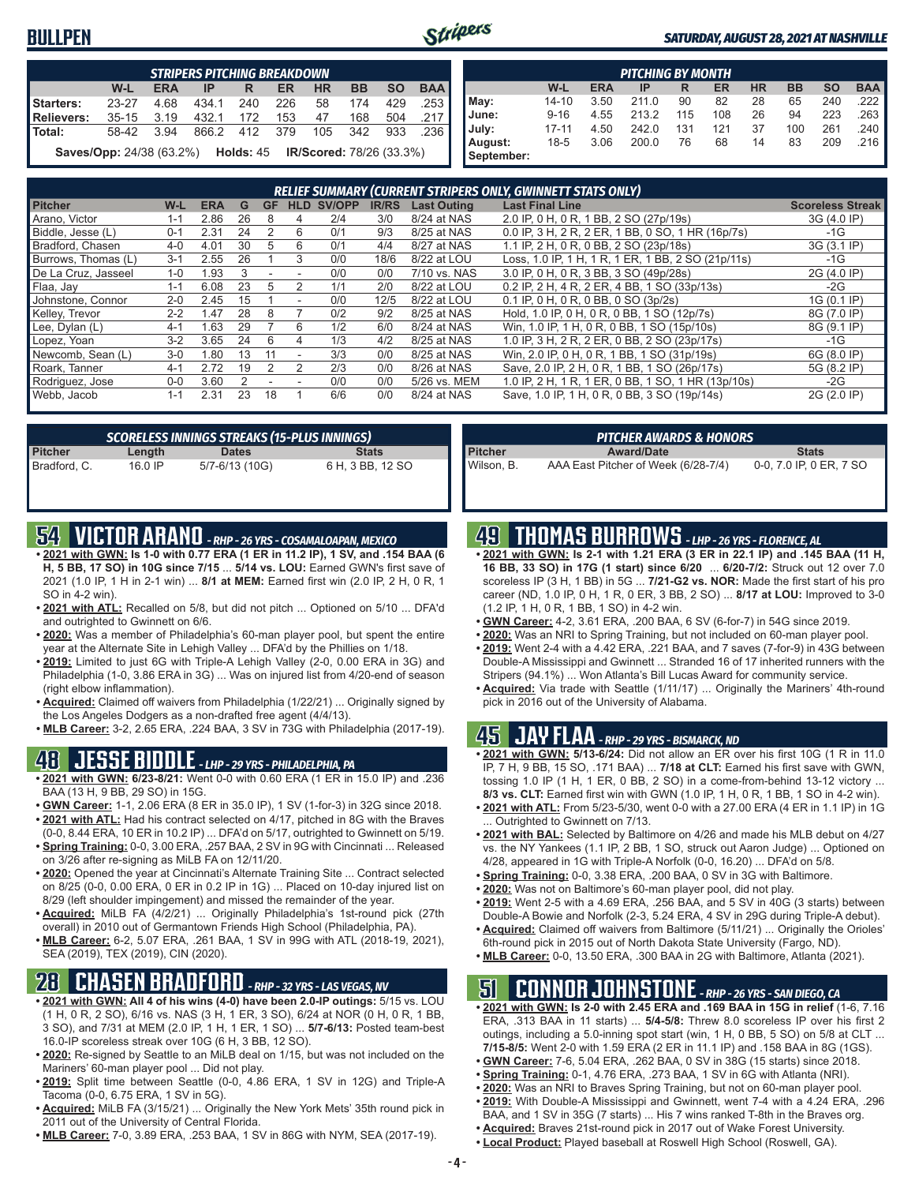### **BULLPEN**



#### *SATURDAY, AUGUST 28, 2021 AT NASHVILLE*

|                                                                                                | <b>STRIPERS PITCHING BREAKDOWN</b>                                         |      |               |       |     |    |         |     |      |  |  |  |  |  |
|------------------------------------------------------------------------------------------------|----------------------------------------------------------------------------|------|---------------|-------|-----|----|---------|-----|------|--|--|--|--|--|
| <b>BAA</b><br>W-L<br><b>HR</b><br><b>BB</b><br><b>SO</b><br><b>ERA</b><br><b>ER</b><br>IP<br>R |                                                                            |      |               |       |     |    |         |     |      |  |  |  |  |  |
| Starters:                                                                                      | $23 - 27$                                                                  | 4.68 | 434.1         | - 240 | 226 | 58 | 174     | 429 | .253 |  |  |  |  |  |
| Relievers:                                                                                     | 35-15 3.19                                                                 |      | 432.1         | 172   | 153 | 47 | 168     | 504 | .217 |  |  |  |  |  |
| <b>Total:</b>                                                                                  | 58-42                                                                      | 3.94 | 866.2 412 379 |       |     |    | 105 342 | 933 | -236 |  |  |  |  |  |
|                                                                                                | <b>Saves/Opp:</b> 24/38 (63.2%)  Holds: 45 <b>IR/Scored:</b> 78/26 (33.3%) |      |               |       |     |    |         |     |      |  |  |  |  |  |

|            | <b>PITCHING BY MONTH</b>                                                                |      |       |     |     |    |     |     |      |  |  |  |  |  |  |
|------------|-----------------------------------------------------------------------------------------|------|-------|-----|-----|----|-----|-----|------|--|--|--|--|--|--|
|            | <b>BAA</b><br><b>HR</b><br><b>SO</b><br><b>BB</b><br>W-L<br><b>ERA</b><br>ER<br>IP<br>R |      |       |     |     |    |     |     |      |  |  |  |  |  |  |
| May:       | $14 - 10$                                                                               | 3.50 | 211.0 | 90  | 82  | 28 | 65  | 240 | .222 |  |  |  |  |  |  |
| June:      | $9 - 16$                                                                                | 4.55 | 213.2 | 115 | 108 | 26 | 94  | 223 | .263 |  |  |  |  |  |  |
| July:      | $17 - 11$                                                                               | 4.50 | 242.0 | 131 | 121 | 37 | 100 | 261 | .240 |  |  |  |  |  |  |
| August:    | $18-5$                                                                                  | 3.06 | 200.0 | 76  | 68  | 14 | 83  | 209 | .216 |  |  |  |  |  |  |
| September: |                                                                                         |      |       |     |     |    |     |     |      |  |  |  |  |  |  |

| <b>RELIEF SUMMARY (CURRENT STRIPERS ONLY, GWINNETT STATS ONLY)</b> |         |            |    |           |            |        |              |                    |                                                    |                         |
|--------------------------------------------------------------------|---------|------------|----|-----------|------------|--------|--------------|--------------------|----------------------------------------------------|-------------------------|
| <b>Pitcher</b>                                                     | W-L     | <b>ERA</b> | G  | <b>GF</b> | <b>HLD</b> | SV/OPP | <b>IR/RS</b> | <b>Last Outing</b> | <b>Last Final Line</b>                             | <b>Scoreless Streak</b> |
| Arano, Victor                                                      | 1-1     | 2.86       | 26 | 8         | 4          | 2/4    | 3/0          | 8/24 at NAS        | 2.0 IP, 0 H, 0 R, 1 BB, 2 SO (27p/19s)             | 3G (4.0 IP)             |
| Biddle, Jesse (L)                                                  | $0 - 1$ | 2.31       | 24 |           | 6          | 0/1    | 9/3          | 8/25 at NAS        | 0.0 IP. 3 H. 2 R. 2 ER. 1 BB. 0 SO. 1 HR (16p/7s)  | $-1G$                   |
| Bradford, Chasen                                                   | $4 - 0$ | 4.01       | 30 | 5         | 6          | 0/1    | 4/4          | 8/27 at NAS        | 1.1 IP, 2 H, 0 R, 0 BB, 2 SO (23p/18s)             | 3G (3.1 IP)             |
| Burrows. Thomas (L)                                                | $3 - 1$ | 2.55       | 26 |           | 3          | 0/0    | 18/6         | 8/22 at LOU        | Loss, 1.0 IP, 1 H, 1 R, 1 ER, 1 BB, 2 SO (21p/11s) | $-1G$                   |
| De La Cruz. Jasseel                                                | $1 - 0$ | 1.93       | 3  | ۰         | ۰          | 0/0    | 0/0          | 7/10 vs. NAS       | 3.0 IP, 0 H, 0 R, 3 BB, 3 SO (49p/28s)             | 2G (4.0 IP)             |
| Flaa, Jay                                                          | $1 - 1$ | 6.08       | 23 | 5         | 2          | 1/1    | 2/0          | 8/22 at LOU        | 0.2 IP, 2 H, 4 R, 2 ER, 4 BB, 1 SO (33p/13s)       | $-2G$                   |
| Johnstone, Connor                                                  | $2 - 0$ | 2.45       | 15 |           | ۰          | 0/0    | 12/5         | 8/22 at LOU        | 0.1 IP. 0 H. 0 R. 0 BB. 0 SO (3p/2s)               | 1G (0.1 IP)             |
| Kelley, Trevor                                                     | $2 - 2$ | 1.47       | 28 | 8         |            | 0/2    | 9/2          | 8/25 at NAS        | Hold, 1.0 IP, 0 H, 0 R, 0 BB, 1 SO (12p/7s)        | 8G (7.0 IP)             |
| Lee, Dylan (L)                                                     | $4 - 1$ | 1.63       | 29 |           | 6          | 1/2    | 6/0          | 8/24 at NAS        | Win, 1.0 IP, 1 H, 0 R, 0 BB, 1 SO (15p/10s)        | 8G (9.1 IP)             |
| Lopez, Yoan                                                        | $3-2$   | 3.65       | 24 | 6         | 4          | 1/3    | 4/2          | 8/25 at NAS        | 1.0 IP, 3 H, 2 R, 2 ER, 0 BB, 2 SO (23p/17s)       | $-1G$                   |
| Newcomb, Sean (L)                                                  | $3-0$   | .80        | 13 | 11        | ۰          | 3/3    | 0/0          | 8/25 at NAS        | Win, 2.0 IP, 0 H, 0 R, 1 BB, 1 SO (31p/19s)        | 6G (8.0 IP)             |
| Roark, Tanner                                                      | $4 - 1$ | 2.72       | 19 | 2         |            | 2/3    | 0/0          | 8/26 at NAS        | Save, 2.0 IP, 2 H, 0 R, 1 BB, 1 SO (26p/17s)       | 5G (8.2 IP)             |
| Rodriguez, Jose                                                    | $0 - 0$ | 3.60       |    |           |            | 0/0    | 0/0          | 5/26 vs. MEM       | 1.0 IP. 2 H. 1 R. 1 ER. 0 BB. 1 SO. 1 HR (13p/10s) | -2G                     |
| Webb, Jacob                                                        | $1 - 1$ | 2.31       | 23 | 18        |            | 6/6    | 0/0          | 8/24 at NAS        | Save, 1.0 IP, 1 H, 0 R, 0 BB, 3 SO (19p/14s)       | 2G (2.0 IP)             |

| SCORELESS INNINGS STREAKS (15-PLUS INNINGS) |         |                |                  |  |  |  |  |
|---------------------------------------------|---------|----------------|------------------|--|--|--|--|
| <b>Pitcher</b>                              | Length  | <b>Dates</b>   | <b>Stats</b>     |  |  |  |  |
| Bradford, C.                                | 16.0 IP | 5/7-6/13 (10G) | 6 H, 3 BB, 12 SO |  |  |  |  |

# **54 VICTOR ARANO** *- RHP - 26 YRS - COSAMALOAPAN, MEXICO*

- **• 2021 with GWN: Is 1-0 with 0.77 ERA (1 ER in 11.2 IP), 1 SV, and .154 BAA (6 H, 5 BB, 17 SO) in 10G since 7/15** ... **5/14 vs. LOU:** Earned GWN's first save of 2021 (1.0 IP, 1 H in 2-1 win) ... **8/1 at MEM:** Earned first win (2.0 IP, 2 H, 0 R, 1 SO in 4-2 win).
- **• 2021 with ATL:** Recalled on 5/8, but did not pitch ... Optioned on 5/10 ... DFA'd and outrighted to Gwinnett on 6/6.
- **• 2020:** Was a member of Philadelphia's 60-man player pool, but spent the entire year at the Alternate Site in Lehigh Valley ... DFA'd by the Phillies on 1/18.
- **• 2019:** Limited to just 6G with Triple-A Lehigh Valley (2-0, 0.00 ERA in 3G) and Philadelphia (1-0, 3.86 ERA in 3G) ... Was on injured list from 4/20-end of season (right elbow inflammation).
- **• Acquired:** Claimed off waivers from Philadelphia (1/22/21) ... Originally signed by the Los Angeles Dodgers as a non-drafted free agent (4/4/13).
- **• MLB Career:** 3-2, 2.65 ERA, .224 BAA, 3 SV in 73G with Philadelphia (2017-19).

### **48 JESSE BIDDLE** *- LHP - 29 YRS - PHILADELPHIA, PA*

- **• 2021 with GWN: 6/23-8/21:** Went 0-0 with 0.60 ERA (1 ER in 15.0 IP) and .236 BAA (13 H, 9 BB, 29 SO) in 15G.
- **• GWN Career:** 1-1, 2.06 ERA (8 ER in 35.0 IP), 1 SV (1-for-3) in 32G since 2018. **• 2021 with ATL:** Had his contract selected on 4/17, pitched in 8G with the Braves
- (0-0, 8.44 ERA, 10 ER in 10.2 IP) ... DFA'd on 5/17, outrighted to Gwinnett on 5/19. **• Spring Training:** 0-0, 3.00 ERA, .257 BAA, 2 SV in 9G with Cincinnati ... Released
- on 3/26 after re-signing as MiLB FA on 12/11/20. **• 2020:** Opened the year at Cincinnati's Alternate Training Site ... Contract selected
- on 8/25 (0-0, 0.00 ERA, 0 ER in 0.2 IP in 1G) ... Placed on 10-day injured list on 8/29 (left shoulder impingement) and missed the remainder of the year.
- **• Acquired:** MiLB FA (4/2/21) ... Originally Philadelphia's 1st-round pick (27th overall) in 2010 out of Germantown Friends High School (Philadelphia, PA).
- **• MLB Career:** 6-2, 5.07 ERA, .261 BAA, 1 SV in 99G with ATL (2018-19, 2021), SEA (2019), TEX (2019), CIN (2020).

### **28 CHASEN BRADFORD** *- RHP - 32 YRS - LAS VEGAS, NV*

- **• 2021 with GWN: All 4 of his wins (4-0) have been 2.0-IP outings:** 5/15 vs. LOU (1 H, 0 R, 2 SO), 6/16 vs. NAS (3 H, 1 ER, 3 SO), 6/24 at NOR (0 H, 0 R, 1 BB, 3 SO), and 7/31 at MEM (2.0 IP, 1 H, 1 ER, 1 SO) ... **5/7-6/13:** Posted team-best 16.0-IP scoreless streak over 10G (6 H, 3 BB, 12 SO).
- **• 2020:** Re-signed by Seattle to an MiLB deal on 1/15, but was not included on the Mariners' 60-man player pool ... Did not play.
- **• 2019:** Split time between Seattle (0-0, 4.86 ERA, 1 SV in 12G) and Triple-A Tacoma (0-0, 6.75 ERA, 1 SV in 5G).
- **• Acquired:** MiLB FA (3/15/21) ... Originally the New York Mets' 35th round pick in 2011 out of the University of Central Florida.
- **• MLB Career:** 7-0, 3.89 ERA, .253 BAA, 1 SV in 86G with NYM, SEA (2017-19).

|                | PITCHER AWARDS & HONORS             |                         |
|----------------|-------------------------------------|-------------------------|
| <b>Pitcher</b> | <b>Award/Date</b>                   | <b>Stats</b>            |
| Wilson. B.     | AAA East Pitcher of Week (6/28-7/4) | 0-0, 7.0 IP, 0 ER, 7 SO |

### **49 THOMAS BURROWS** *- LHP - 26 YRS - FLORENCE, AL*

- **• 2021 with GWN: Is 2-1 with 1.21 ERA (3 ER in 22.1 IP) and .145 BAA (11 H, 16 BB, 33 SO) in 17G (1 start) since 6/20** ... **6/20-7/2:** Struck out 12 over 7.0 scoreless IP (3 H, 1 BB) in 5G ... **7/21-G2 vs. NOR:** Made the first start of his pro career (ND, 1.0 IP, 0 H, 1 R, 0 ER, 3 BB, 2 SO) ... **8/17 at LOU:** Improved to 3-0 (1.2 IP, 1 H, 0 R, 1 BB, 1 SO) in 4-2 win.
- **• GWN Career:** 4-2, 3.61 ERA, .200 BAA, 6 SV (6-for-7) in 54G since 2019.
- **• 2020:** Was an NRI to Spring Training, but not included on 60-man player pool.
- **• 2019:** Went 2-4 with a 4.42 ERA, .221 BAA, and 7 saves (7-for-9) in 43G between Double-A Mississippi and Gwinnett ... Stranded 16 of 17 inherited runners with the Stripers (94.1%) ... Won Atlanta's Bill Lucas Award for community service.
- **• Acquired:** Via trade with Seattle (1/11/17) ... Originally the Mariners' 4th-round pick in 2016 out of the University of Alabama.

#### **45 JAY FLAA** *- RHP - 29 YRS - BISMARCK, ND*

- **• 2021 with GWN: 5/13-6/24:** Did not allow an ER over his first 10G (1 R in 11.0 IP, 7 H, 9 BB, 15 SO, .171 BAA) ... **7/18 at CLT:** Earned his first save with GWN, tossing 1.0 IP (1 H, 1 ER, 0 BB, 2 SO) in a come-from-behind 13-12 victory ... **8/3 vs. CLT:** Earned first win with GWN (1.0 IP, 1 H, 0 R, 1 BB, 1 SO in 4-2 win).
- **• 2021 with ATL:** From 5/23-5/30, went 0-0 with a 27.00 ERA (4 ER in 1.1 IP) in 1G . Outrighted to Gwinnett on 7/13.
- **• 2021 with BAL:** Selected by Baltimore on 4/26 and made his MLB debut on 4/27 vs. the NY Yankees (1.1 IP, 2 BB, 1 SO, struck out Aaron Judge) ... Optioned on 4/28, appeared in 1G with Triple-A Norfolk (0-0, 16.20) ... DFA'd on 5/8.
- **• Spring Training:** 0-0, 3.38 ERA, .200 BAA, 0 SV in 3G with Baltimore.
- **• 2020:** Was not on Baltimore's 60-man player pool, did not play.
- **• 2019:** Went 2-5 with a 4.69 ERA, .256 BAA, and 5 SV in 40G (3 starts) between
- Double-A Bowie and Norfolk (2-3, 5.24 ERA, 4 SV in 29G during Triple-A debut).
- **• Acquired:** Claimed off waivers from Baltimore (5/11/21) ... Originally the Orioles' 6th-round pick in 2015 out of North Dakota State University (Fargo, ND).
- **• MLB Career:** 0-0, 13.50 ERA, .300 BAA in 2G with Baltimore, Atlanta (2021).

### **51 CONNOR JOHNSTONE** *- RHP - 26 YRS - SAN DIEGO, CA*

- **• 2021 with GWN: Is 2-0 with 2.45 ERA and .169 BAA in 15G in relief** (1-6, 7.16 ERA, .313 BAA in 11 starts) ... **5/4-5/8:** Threw 8.0 scoreless IP over his first 2 outings, including a 5.0-inning spot start (win, 1 H, 0 BB, 5 SO) on 5/8 at CLT ... **7/15-8/5:** Went 2-0 with 1.59 ERA (2 ER in 11.1 IP) and .158 BAA in 8G (1GS).
- **• GWN Career:** 7-6, 5.04 ERA, .262 BAA, 0 SV in 38G (15 starts) since 2018.
- **• Spring Training:** 0-1, 4.76 ERA, .273 BAA, 1 SV in 6G with Atlanta (NRI).
- **• 2020:** Was an NRI to Braves Spring Training, but not on 60-man player pool.
- **• 2019:** With Double-A Mississippi and Gwinnett, went 7-4 with a 4.24 ERA, .296 BAA, and 1 SV in 35G (7 starts) ... His 7 wins ranked T-8th in the Braves org.
- **• Acquired:** Braves 21st-round pick in 2017 out of Wake Forest University.
- **• Local Product:** Played baseball at Roswell High School (Roswell, GA).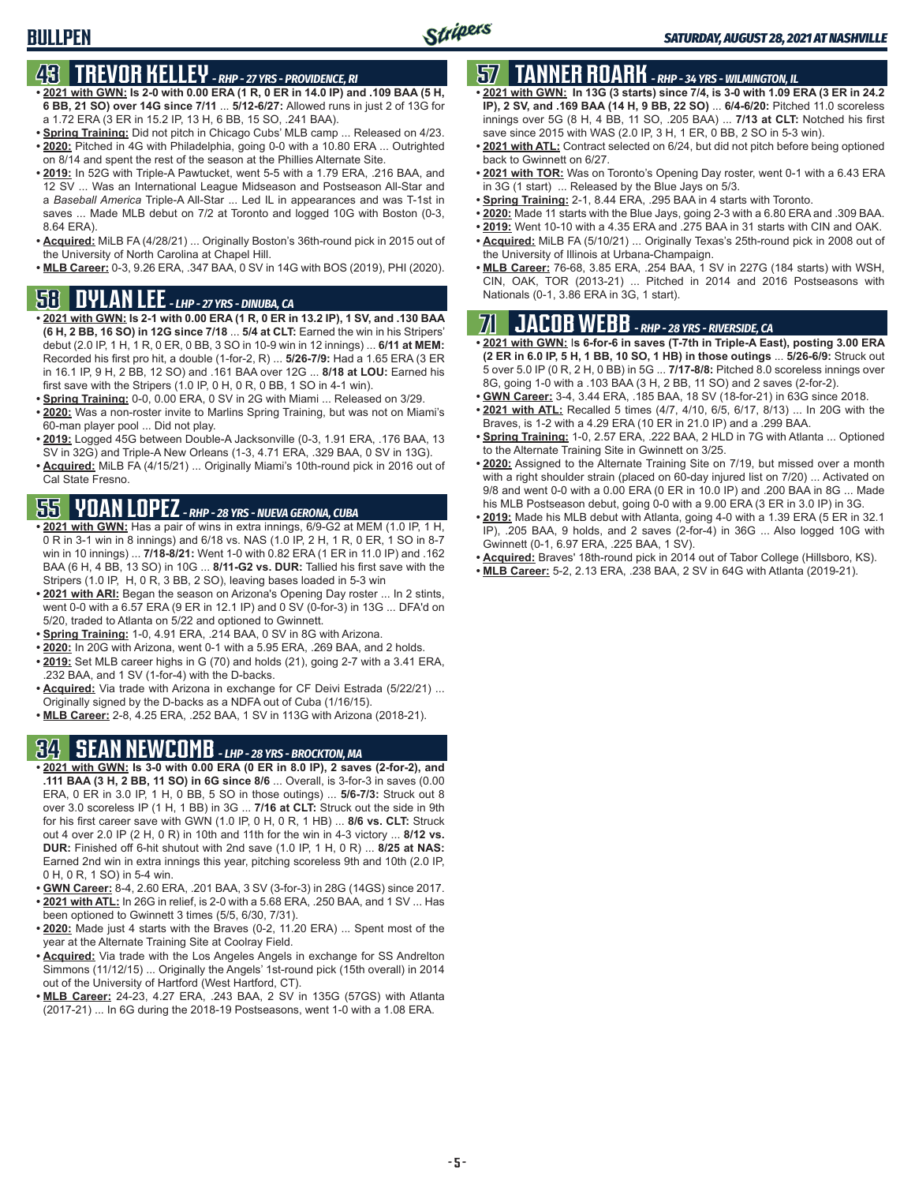### **BULLPEN**

### **43 TREVOR KELLEY** *- RHP - 27 YRS - PROVIDENCE, RI*

- **• 2021 with GWN: Is 2-0 with 0.00 ERA (1 R, 0 ER in 14.0 IP) and .109 BAA (5 H, 6 BB, 21 SO) over 14G since 7/11** ... **5/12-6/27:** Allowed runs in just 2 of 13G for a 1.72 ERA (3 ER in 15.2 IP, 13 H, 6 BB, 15 SO, .241 BAA).
- **• Spring Training:** Did not pitch in Chicago Cubs' MLB camp ... Released on 4/23. **• 2020:** Pitched in 4G with Philadelphia, going 0-0 with a 10.80 ERA ... Outrighted on 8/14 and spent the rest of the season at the Phillies Alternate Site.
- **• 2019:** In 52G with Triple-A Pawtucket, went 5-5 with a 1.79 ERA, .216 BAA, and 12 SV ... Was an International League Midseason and Postseason All-Star and a *Baseball America* Triple-A All-Star ... Led IL in appearances and was T-1st in saves ... Made MLB debut on 7/2 at Toronto and logged 10G with Boston (0-3, 8.64 ERA).
- **• Acquired:** MiLB FA (4/28/21) ... Originally Boston's 36th-round pick in 2015 out of the University of North Carolina at Chapel Hill.
- **• MLB Career:** 0-3, 9.26 ERA, .347 BAA, 0 SV in 14G with BOS (2019), PHI (2020).

# **58 DYLAN LEE** *- LHP - 27 YRS - DINUBA, CA*

- **• 2021 with GWN: Is 2-1 with 0.00 ERA (1 R, 0 ER in 13.2 IP), 1 SV, and .130 BAA (6 H, 2 BB, 16 SO) in 12G since 7/18** ... **5/4 at CLT:** Earned the win in his Stripers' debut (2.0 IP, 1 H, 1 R, 0 ER, 0 BB, 3 SO in 10-9 win in 12 innings) ... **6/11 at MEM:** Recorded his first pro hit, a double (1-for-2, R) ... **5/26-7/9:** Had a 1.65 ERA (3 ER in 16.1 IP, 9 H, 2 BB, 12 SO) and .161 BAA over 12G ... **8/18 at LOU:** Earned his first save with the Stripers (1.0 IP, 0 H, 0 R, 0 BB, 1 SO in 4-1 win).
- **• Spring Training:** 0-0, 0.00 ERA, 0 SV in 2G with Miami ... Released on 3/29.
- **• 2020:** Was a non-roster invite to Marlins Spring Training, but was not on Miami's 60-man player pool ... Did not play.
- **• 2019:** Logged 45G between Double-A Jacksonville (0-3, 1.91 ERA, .176 BAA, 13 SV in 32G) and Triple-A New Orleans (1-3, 4.71 ERA, .329 BAA, 0 SV in 13G).
- **• Acquired:** MiLB FA (4/15/21) ... Originally Miami's 10th-round pick in 2016 out of Cal State Fresno.

# **55 YOAN LOPEZ** *- RHP - 28 YRS - NUEVA GERONA, CUBA*

- **• 2021 with GWN:** Has a pair of wins in extra innings, 6/9-G2 at MEM (1.0 IP, 1 H, 0 R in 3-1 win in 8 innings) and 6/18 vs. NAS (1.0 IP, 2 H, 1 R, 0 ER, 1 SO in 8-7 win in 10 innings) ... **7/18-8/21:** Went 1-0 with 0.82 ERA (1 ER in 11.0 IP) and .162 BAA (6 H, 4 BB, 13 SO) in 10G ... **8/11-G2 vs. DUR:** Tallied his first save with the Stripers (1.0 IP, H, 0 R, 3 BB, 2 SO), leaving bases loaded in 5-3 win
- **• 2021 with ARI:** Began the season on Arizona's Opening Day roster ... In 2 stints, went 0-0 with a 6.57 ERA (9 ER in 12.1 IP) and 0 SV (0-for-3) in 13G ... DFA'd on 5/20, traded to Atlanta on 5/22 and optioned to Gwinnett.
- **• Spring Training:** 1-0, 4.91 ERA, .214 BAA, 0 SV in 8G with Arizona.
- **• 2020:** In 20G with Arizona, went 0-1 with a 5.95 ERA, .269 BAA, and 2 holds.
- **• 2019:** Set MLB career highs in G (70) and holds (21), going 2-7 with a 3.41 ERA, .232 BAA, and 1 SV (1-for-4) with the D-backs.
- **• Acquired:** Via trade with Arizona in exchange for CF Deivi Estrada (5/22/21) ... Originally signed by the D-backs as a NDFA out of Cuba (1/16/15).
- **• MLB Career:** 2-8, 4.25 ERA, .252 BAA, 1 SV in 113G with Arizona (2018-21).

# **34 SEAN NEWCOMB** *- LHP - 28 YRS - BROCKTON, MA*

- **• 2021 with GWN: Is 3-0 with 0.00 ERA (0 ER in 8.0 IP), 2 saves (2-for-2), and .111 BAA (3 H, 2 BB, 11 SO) in 6G since 8/6** ... Overall, is 3-for-3 in saves (0.00 ERA, 0 ER in 3.0 IP, 1 H, 0 BB, 5 SO in those outings) ... **5/6-7/3:** Struck out 8 over 3.0 scoreless IP (1 H, 1 BB) in 3G ... **7/16 at CLT:** Struck out the side in 9th for his first career save with GWN (1.0 IP, 0 H, 0 R, 1 HB) ... **8/6 vs. CLT:** Struck out 4 over 2.0 IP (2 H, 0 R) in 10th and 11th for the win in 4-3 victory ... **8/12 vs. DUR:** Finished off 6-hit shutout with 2nd save (1.0 IP, 1 H, 0 R) ... **8/25 at NAS:** Earned 2nd win in extra innings this year, pitching scoreless 9th and 10th (2.0 IP, 0 H, 0 R, 1 SO) in 5-4 win.
- **• GWN Career:** 8-4, 2.60 ERA, .201 BAA, 3 SV (3-for-3) in 28G (14GS) since 2017. **• 2021 with ATL:** In 26G in relief, is 2-0 with a 5.68 ERA, .250 BAA, and 1 SV ... Has
- been optioned to Gwinnett 3 times (5/5, 6/30, 7/31).
- **• 2020:** Made just 4 starts with the Braves (0-2, 11.20 ERA) ... Spent most of the year at the Alternate Training Site at Coolray Field.
- **• Acquired:** Via trade with the Los Angeles Angels in exchange for SS Andrelton Simmons (11/12/15) ... Originally the Angels' 1st-round pick (15th overall) in 2014 out of the University of Hartford (West Hartford, CT).
- **• MLB Career:** 24-23, 4.27 ERA, .243 BAA, 2 SV in 135G (57GS) with Atlanta (2017-21) ... In 6G during the 2018-19 Postseasons, went 1-0 with a 1.08 ERA.

# **57 TANNER ROARK** *- RHP - 34 YRS - WILMINGTON, IL*

- **• 2021 with GWN: In 13G (3 starts) since 7/4, is 3-0 with 1.09 ERA (3 ER in 24.2 IP), 2 SV, and .169 BAA (14 H, 9 BB, 22 SO)** ... **6/4-6/20:** Pitched 11.0 scoreless innings over 5G (8 H, 4 BB, 11 SO, .205 BAA) ... **7/13 at CLT:** Notched his first save since 2015 with WAS (2.0 IP, 3 H, 1 ER, 0 BB, 2 SO in 5-3 win).
- **• 2021 with ATL:** Contract selected on 6/24, but did not pitch before being optioned back to Gwinnett on 6/27.
- **• 2021 with TOR:** Was on Toronto's Opening Day roster, went 0-1 with a 6.43 ERA in 3G (1 start) ... Released by the Blue Jays on 5/3.
- **• Spring Training:** 2-1, 8.44 ERA, .295 BAA in 4 starts with Toronto.
- **• 2020:** Made 11 starts with the Blue Jays, going 2-3 with a 6.80 ERA and .309 BAA.
- **• 2019:** Went 10-10 with a 4.35 ERA and .275 BAA in 31 starts with CIN and OAK.
- **• Acquired:** MiLB FA (5/10/21) ... Originally Texas's 25th-round pick in 2008 out of the University of Illinois at Urbana-Champaign.
- **• MLB Career:** 76-68, 3.85 ERA, .254 BAA, 1 SV in 227G (184 starts) with WSH, CIN, OAK, TOR (2013-21) ... Pitched in 2014 and 2016 Postseasons with Nationals (0-1, 3.86 ERA in 3G, 1 start).

# **71 JACOB WEBB** *- RHP - 28 YRS - RIVERSIDE, CA*

- **• 2021 with GWN:** I**s 6-for-6 in saves (T-7th in Triple-A East), posting 3.00 ERA (2 ER in 6.0 IP, 5 H, 1 BB, 10 SO, 1 HB) in those outings** ... **5/26-6/9:** Struck out 5 over 5.0 IP (0 R, 2 H, 0 BB) in 5G ... **7/17-8/8:** Pitched 8.0 scoreless innings over 8G, going 1-0 with a .103 BAA (3 H, 2 BB, 11 SO) and 2 saves (2-for-2).
- **• GWN Career:** 3-4, 3.44 ERA, .185 BAA, 18 SV (18-for-21) in 63G since 2018.
- **• 2021 with ATL:** Recalled 5 times (4/7, 4/10, 6/5, 6/17, 8/13) ... In 20G with the Braves, is 1-2 with a 4.29 ERA (10 ER in 21.0 IP) and a .299 BAA.
- **• Spring Training:** 1-0, 2.57 ERA, .222 BAA, 2 HLD in 7G with Atlanta ... Optioned to the Alternate Training Site in Gwinnett on 3/25.
- **• 2020:** Assigned to the Alternate Training Site on 7/19, but missed over a month with a right shoulder strain (placed on 60-day injured list on 7/20) ... Activated on 9/8 and went 0-0 with a 0.00 ERA (0 ER in 10.0 IP) and .200 BAA in 8G ... Made his MLB Postseason debut, going 0-0 with a 9.00 ERA (3 ER in 3.0 IP) in 3G.
- **• 2019:** Made his MLB debut with Atlanta, going 4-0 with a 1.39 ERA (5 ER in 32.1 IP), .205 BAA, 9 holds, and 2 saves (2-for-4) in 36G ... Also logged 10G with Gwinnett (0-1, 6.97 ERA, .225 BAA, 1 SV).
- **• Acquired:** Braves' 18th-round pick in 2014 out of Tabor College (Hillsboro, KS).
- **• MLB Career:** 5-2, 2.13 ERA, .238 BAA, 2 SV in 64G with Atlanta (2019-21).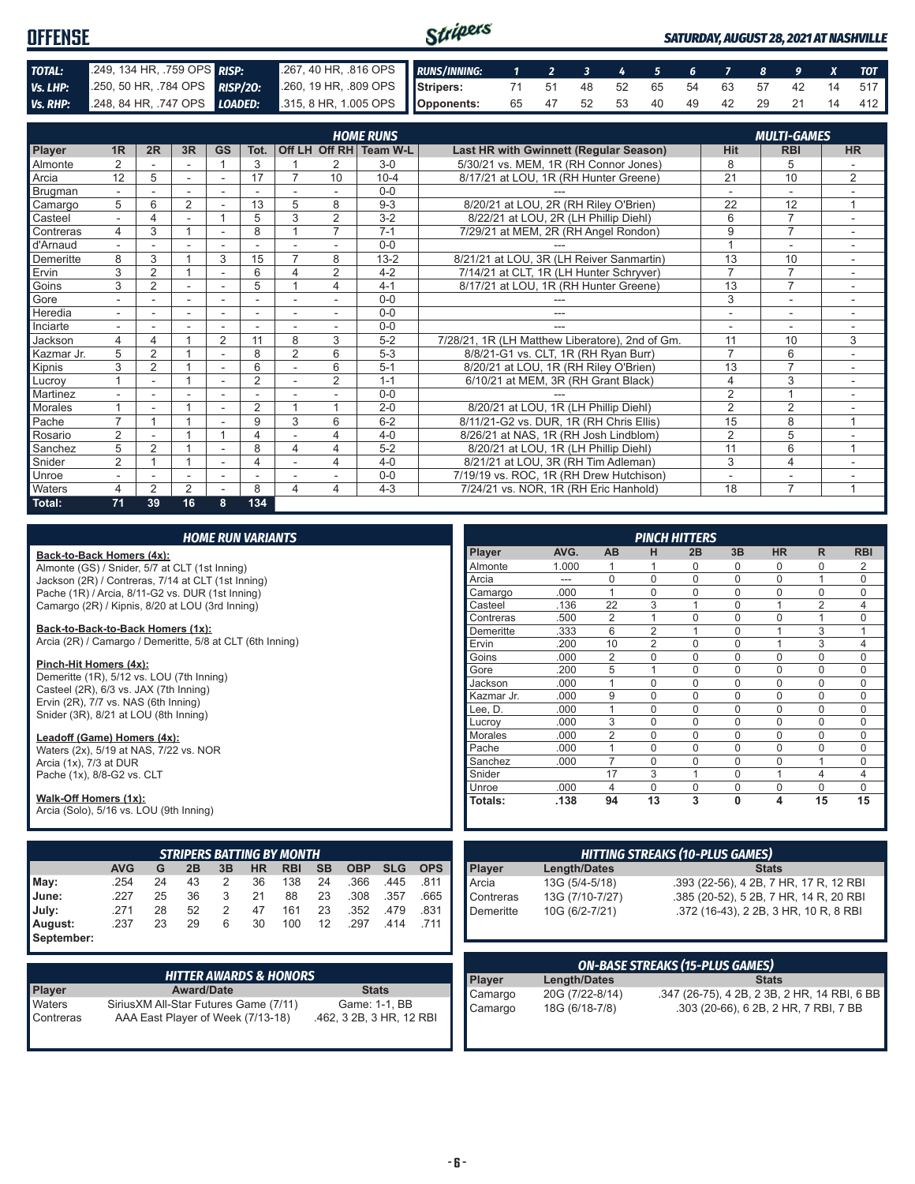| <b>OFFENSE</b> |                            |                                                                                              | Stripers |                               |  |  |  |  | <b>SATURDAY, AUGUST 28, 2021 AT NASHVILLE</b> |
|----------------|----------------------------|----------------------------------------------------------------------------------------------|----------|-------------------------------|--|--|--|--|-----------------------------------------------|
| TOTAL:         | 249, 134 HR, 759 OPS RISP: | 267, 40 HR, 816 OPS RUNS/INNING: 1 2 3 4 5 6 7 8 9 X TOT                                     |          |                               |  |  |  |  |                                               |
| Vs. LHP:       |                            | 250, 50 HR, 784 OPS RISP/20: 260, 19 HR, 809 OPS Stripers: 71 51 48 52 65 54 63 57 42 14 517 |          |                               |  |  |  |  |                                               |
|                |                            | Vs. RHP: 248, 84 HR, 747 OPS LOADED: 315, 8 HR, 1.005 OPS Opponents:                         |          | 65 47 52 53 40 49 42 29 21 14 |  |  |  |  | 412                                           |

|                | <b>HOME RUNS</b><br><b>MULTI-GAMES</b> |                |        |                          |                |                          |                |                        |                                                 |                 |                          |                |
|----------------|----------------------------------------|----------------|--------|--------------------------|----------------|--------------------------|----------------|------------------------|-------------------------------------------------|-----------------|--------------------------|----------------|
| Player         | 1 <sub>R</sub>                         | 2R             | 3R     | <b>GS</b>                | Tot.           |                          |                | Off LH Off RH Team W-L | Last HR with Gwinnett (Regular Season)          | <b>Hit</b>      | <b>RBI</b>               | <b>HR</b>      |
| <b>Almonte</b> | 2                                      |                |        |                          | 3              |                          | 2              | $3-0$                  | 5/30/21 vs. MEM, 1R (RH Connor Jones)           | 8               | 5                        |                |
| Arcia          | 12                                     | 5              | $\sim$ | $\sim$                   | 17             |                          | 10             | $10 - 4$               | 8/17/21 at LOU, 1R (RH Hunter Greene)           | $\overline{21}$ | 10                       | 2              |
| Brugman        |                                        |                |        |                          |                |                          |                | $0 - 0$                |                                                 | ٠               | ٠                        |                |
| Camargo        | 5                                      | 6              | 2      |                          | 13             | 5                        | 8              | $9 - 3$                | 8/20/21 at LOU, 2R (RH Riley O'Brien)           | 22              | 12                       | 1              |
| Casteel        |                                        | 4              |        |                          | 5              | 3                        | 2              | $3 - 2$                | 8/22/21 at LOU, 2R (LH Phillip Diehl)           | 6               | $\overline{7}$           |                |
| Contreras      | 4                                      | 3              | 1      |                          | 8              |                          | $\overline{7}$ | $7 - 1$                | 7/29/21 at MEM, 2R (RH Angel Rondon)            | 9               | $\overline{7}$           |                |
| d'Arnaud       | $\overline{\phantom{0}}$               |                |        |                          |                |                          |                | $0 - 0$                |                                                 |                 | ۰                        | ٠              |
| Demeritte      | 8                                      | 3              |        | 3                        | 15             | 7                        | 8              | $13 - 2$               | 8/21/21 at LOU, 3R (LH Reiver Sanmartin)        | 13              | 10                       |                |
| Ervin          | 3                                      | $\overline{2}$ |        |                          | 6              | 4                        | $\overline{2}$ | $4 - 2$                | 7/14/21 at CLT, 1R (LH Hunter Schryver)         | $\overline{7}$  | $\overline{7}$           | $\sim$         |
| Goins          | 3                                      | 2              |        |                          | 5              |                          | 4              | $4 - 1$                | 8/17/21 at LOU, 1R (RH Hunter Greene)           | 13              | $\overline{7}$           |                |
| Gore           |                                        |                | ٠      |                          |                |                          |                | $0 - 0$                |                                                 | 3               | ٠                        |                |
| Heredia        | $\sim$                                 | ٠              | $\sim$ | $\overline{\phantom{a}}$ | ٠              | $\overline{\phantom{a}}$ | $\sim$         | $0 - 0$                | ---                                             | ٠               | $\overline{\phantom{a}}$ | $\sim$         |
| Inciarte       |                                        |                |        |                          |                |                          |                | $0 - 0$                |                                                 |                 | ۰                        |                |
| Jackson        | 4                                      | 4              |        | $\overline{2}$           | 11             | 8                        | 3              | $5-2$                  | 7/28/21, 1R (LH Matthew Liberatore), 2nd of Gm. | 11              | 10                       | 3              |
| Kazmar Jr.     | 5                                      | $\overline{2}$ |        |                          | 8              | $\overline{2}$           | 6              | $5-3$                  | 8/8/21-G1 vs. CLT, 1R (RH Ryan Burr)            | $\overline{7}$  | 6                        |                |
| Kipnis         | 3                                      | $\overline{2}$ | 1      |                          | 6              |                          | 6              | $5 - 1$                | 8/20/21 at LOU, 1R (RH Riley O'Brien)           | 13              | $\overline{7}$           |                |
| Lucroy         |                                        | ۰              |        | ۰                        | $\overline{2}$ | $\overline{\phantom{a}}$ | $\overline{2}$ | $1 - 1$                | 6/10/21 at MEM, 3R (RH Grant Black)             | 4               | 3                        | $\sim$         |
| Martinez       |                                        |                |        |                          |                |                          |                | $0 - 0$                |                                                 | $\overline{2}$  | и                        |                |
| Morales        |                                        |                |        |                          | $\overline{2}$ |                          |                | $2 - 0$                | 8/20/21 at LOU, 1R (LH Phillip Diehl)           | $\overline{2}$  | $\overline{2}$           |                |
| Pache          | $\overline{ }$                         |                |        |                          | 9              | 3                        | 6              | $6 - 2$                | 8/11/21-G2 vs. DUR, 1R (RH Chris Ellis)         | 15              | 8                        | 1              |
| Rosario        | 2                                      |                | 4      |                          | 4              |                          | 4              | $4 - 0$                | 8/26/21 at NAS, 1R (RH Josh Lindblom)           | $\overline{2}$  | 5                        |                |
| Sanchez        | 5                                      | 2              |        |                          | 8              | 4                        | 4              | $5-2$                  | 8/20/21 at LOU, 1R (LH Phillip Diehl)           | 11              | 6                        | $\overline{ }$ |
| Snider         | $\overline{2}$                         |                | 4      | $\overline{\phantom{a}}$ | 4              |                          | 4              | $4 - 0$                | 8/21/21 at LOU, 3R (RH Tim Adleman)             | 3               | $\overline{4}$           | $\sim$         |
| <b>Unroe</b>   | ٠                                      |                |        |                          |                |                          |                | $0 - 0$                | 7/19/19 vs. ROC, 1R (RH Drew Hutchison)         | ٠               | ۰                        |                |
| <b>Waters</b>  | 4                                      | $\overline{2}$ | 2      |                          | 8              | $\overline{\mathbf{4}}$  | 4              | $4 - 3$                | 7/24/21 vs. NOR, 1R (RH Eric Hanhold)           | 18              | $\overline{7}$           |                |
| Total:         | 71                                     | 39             | 16     | 8                        | 134            |                          |                |                        |                                                 |                 |                          |                |

| <b>HOME RUN VARIANTS</b>                                            |            |    |    |    |           |                                  |           |            |            |            |            |                 |                |                | <b>PINCH HITTERS</b>                   |             |              |                         |            |
|---------------------------------------------------------------------|------------|----|----|----|-----------|----------------------------------|-----------|------------|------------|------------|------------|-----------------|----------------|----------------|----------------------------------------|-------------|--------------|-------------------------|------------|
| Back-to-Back Homers (4x):                                           |            |    |    |    |           |                                  |           |            |            |            | Player     | AVG.            | AB             | н              | 2B                                     | 3B          | <b>HR</b>    | R.                      | <b>RBI</b> |
| Almonte (GS) / Snider, 5/7 at CLT (1st Inning)                      |            |    |    |    |           |                                  |           |            |            |            | Almonte    | 1.000           |                |                | 0                                      | $\Omega$    | $\Omega$     | $\Omega$                | 2          |
| Jackson (2R) / Contreras, 7/14 at CLT (1st Inning)                  |            |    |    |    |           |                                  |           |            |            |            | Arcia      | ---             | $\mathbf 0$    | $\mathbf 0$    | $\mathbf 0$                            | $\mathbf 0$ | $\Omega$     |                         | $\Omega$   |
| Pache (1R) / Arcia, 8/11-G2 vs. DUR (1st Inning)                    |            |    |    |    |           |                                  |           |            |            |            | Camargo    | .000            | $\overline{1}$ | $\Omega$       | $\Omega$                               | $\Omega$    | $\Omega$     | $\Omega$                | $\Omega$   |
| Camargo (2R) / Kipnis, 8/20 at LOU (3rd Inning)                     |            |    |    |    |           |                                  |           |            |            |            | Casteel    | .136            | 22             | 3              | $\overline{1}$                         | $\Omega$    |              | $\overline{2}$          | 4          |
|                                                                     |            |    |    |    |           |                                  |           |            |            |            | Contreras  | .500            | 2              | $\mathbf{1}$   | $\Omega$                               | $\Omega$    | $\Omega$     |                         | $\Omega$   |
| Back-to-Back-to-Back Homers (1x):                                   |            |    |    |    |           |                                  |           |            |            |            | Demeritte  | .333            | 6              | $\overline{2}$ |                                        | $\mathbf 0$ |              | 3                       |            |
| Arcia (2R) / Camargo / Demeritte, 5/8 at CLT (6th Inning)           |            |    |    |    |           |                                  |           |            |            |            | Ervin      | .200            | 10             | $\overline{2}$ | $\Omega$                               | $\Omega$    |              | 3                       | 4          |
|                                                                     |            |    |    |    |           |                                  |           |            |            |            | Goins      | .000            | 2              | $\Omega$       | $\Omega$                               | $\Omega$    | $\Omega$     | $\Omega$                | $\Omega$   |
| Pinch-Hit Homers (4x):<br>Demeritte (1R), 5/12 vs. LOU (7th Inning) |            |    |    |    |           |                                  |           |            |            |            | Gore       | .200            | 5              | $\mathbf{1}$   | $\mathbf 0$                            | $\Omega$    | $\Omega$     | $\Omega$                | $\Omega$   |
| Casteel (2R), 6/3 vs. JAX (7th Inning)                              |            |    |    |    |           |                                  |           |            |            |            | Jackson    | .000            | $\overline{1}$ | $\Omega$       | $\Omega$                               | $\Omega$    | $\Omega$     | $\Omega$                | $\Omega$   |
| Ervin (2R), 7/7 vs. NAS (6th Inning)                                |            |    |    |    |           |                                  |           |            |            |            | Kazmar Jr. | .000            | 9              | $\Omega$       | 0                                      | $\Omega$    | $\Omega$     | $\Omega$                | $\Omega$   |
| Snider (3R), 8/21 at LOU (8th Inning)                               |            |    |    |    |           |                                  |           |            |            |            | Lee. D.    | .000            | $\overline{1}$ | $\Omega$       | $\Omega$                               | $\Omega$    | $\Omega$     | $\Omega$                | $\Omega$   |
|                                                                     |            |    |    |    |           |                                  |           |            |            |            | Lucrov     | .000            | 3              | $\Omega$       | $\mathbf 0$                            | $\Omega$    | $\Omega$     | $\Omega$                | $\Omega$   |
| Leadoff (Game) Homers (4x):                                         |            |    |    |    |           |                                  |           |            |            |            | Morales    | .000            | $\overline{2}$ | $\Omega$       | $\Omega$                               | $\Omega$    | $\Omega$     | $\Omega$                | $\Omega$   |
| Waters (2x), 5/19 at NAS, 7/22 vs. NOR                              |            |    |    |    |           |                                  |           |            |            |            | Pache      | .000            | $\overline{1}$ | $\Omega$       | 0                                      | $\Omega$    | $\Omega$     | $\Omega$                | $\Omega$   |
| Arcia (1x), 7/3 at DUR                                              |            |    |    |    |           |                                  |           |            |            |            | Sanchez    | .000            | $\overline{7}$ | $\Omega$       | $\Omega$                               | $\Omega$    | $\Omega$     |                         | $\Omega$   |
| Pache (1x), 8/8-G2 vs. CLT                                          |            |    |    |    |           |                                  |           |            |            |            | Snider     |                 | 17             | 3              | $\overline{1}$                         | $\Omega$    |              | $\overline{\mathbf{4}}$ | 4          |
|                                                                     |            |    |    |    |           |                                  |           |            |            |            | Unroe      | .000            | $\overline{4}$ | $\Omega$       | 0                                      | $\mathbf 0$ | 0            | $\Omega$                | $\Omega$   |
| Walk-Off Homers (1x):                                               |            |    |    |    |           |                                  |           |            |            |            | Totals:    | .138            | 94             | 13             | 3                                      | $\Omega$    | 4            | 15                      | 15         |
| Arcia (Solo), 5/16 vs. LOU (9th Inning)                             |            |    |    |    |           |                                  |           |            |            |            |            |                 |                |                |                                        |             |              |                         |            |
|                                                                     |            |    |    |    |           | <b>STRIPERS BATTING BY MONTH</b> |           |            |            |            |            |                 |                |                | <b>HITTING STREAKS (10-PLUS GAMES)</b> |             |              |                         |            |
|                                                                     | <b>AVG</b> | G  | 2B | 3B | <b>HR</b> | <b>RBI</b>                       | <b>SB</b> | <b>OBP</b> | <b>SLG</b> | <b>OPS</b> | Player     | Length/Dates    |                |                |                                        |             | <b>Stats</b> |                         |            |
| May:                                                                | .254       | 24 | 43 | 2  | 36        | 138                              | 24        | .366       | .445       | .811       | Arcia      | 13G (5/4-5/18)  |                |                | .393 (22-56), 4 2B, 7 HR, 17 R, 12 RBI |             |              |                         |            |
| June:                                                               | .227       | 25 | 36 | 3  | 21        | 88                               | 23        | .308       | .357       | .665       | Contreras  | 13G (7/10-7/27) |                |                | .385 (20-52), 5 2B, 7 HR, 14 R, 20 RBI |             |              |                         |            |
| July:                                                               | .271       | 28 | 52 | 2  | 47        | 161                              | 23        | .352       | .479       | .831       | Demeritte  | 10G (6/2-7/21)  |                |                | .372 (16-43), 2 2B, 3 HR, 10 R, 8 RBI  |             |              |                         |            |
|                                                                     | .237       | 23 | 29 | 6  | 30        | 100                              | 12        | .297       | .414       | .711       |            |                 |                |                |                                        |             |              |                         |            |
| August:                                                             |            |    |    |    |           |                                  |           |            |            |            |            |                 |                |                |                                        |             |              |                         |            |
| September:                                                          |            |    |    |    |           |                                  |           |            |            |            |            |                 |                |                |                                        |             |              |                         |            |

|                     | <b>HITTER AWARDS &amp; HONORS</b>                                           |                                           |
|---------------------|-----------------------------------------------------------------------------|-------------------------------------------|
| <b>Player</b>       | <b>Award/Date</b>                                                           | <b>Stats</b>                              |
| Waters<br>Contreras | Sirius XM All-Star Futures Game (7/11)<br>AAA East Player of Week (7/13-18) | Game: 1-1, BB<br>.462, 3 2B, 3 HR, 12 RBI |

| <b>ON-BASE STREAKS (15-PLUS GAMES)</b> |                     |                                              |  |  |  |  |  |
|----------------------------------------|---------------------|----------------------------------------------|--|--|--|--|--|
| Player                                 | <b>Length/Dates</b> | <b>Stats</b>                                 |  |  |  |  |  |
| Camargo                                | 20G (7/22-8/14)     | .347 (26-75), 4 2B, 2 3B, 2 HR, 14 RBI, 6 BB |  |  |  |  |  |
| Camargo                                | 18G (6/18-7/8)      | .303 (20-66), 6 2B, 2 HR, 7 RBI, 7 BB        |  |  |  |  |  |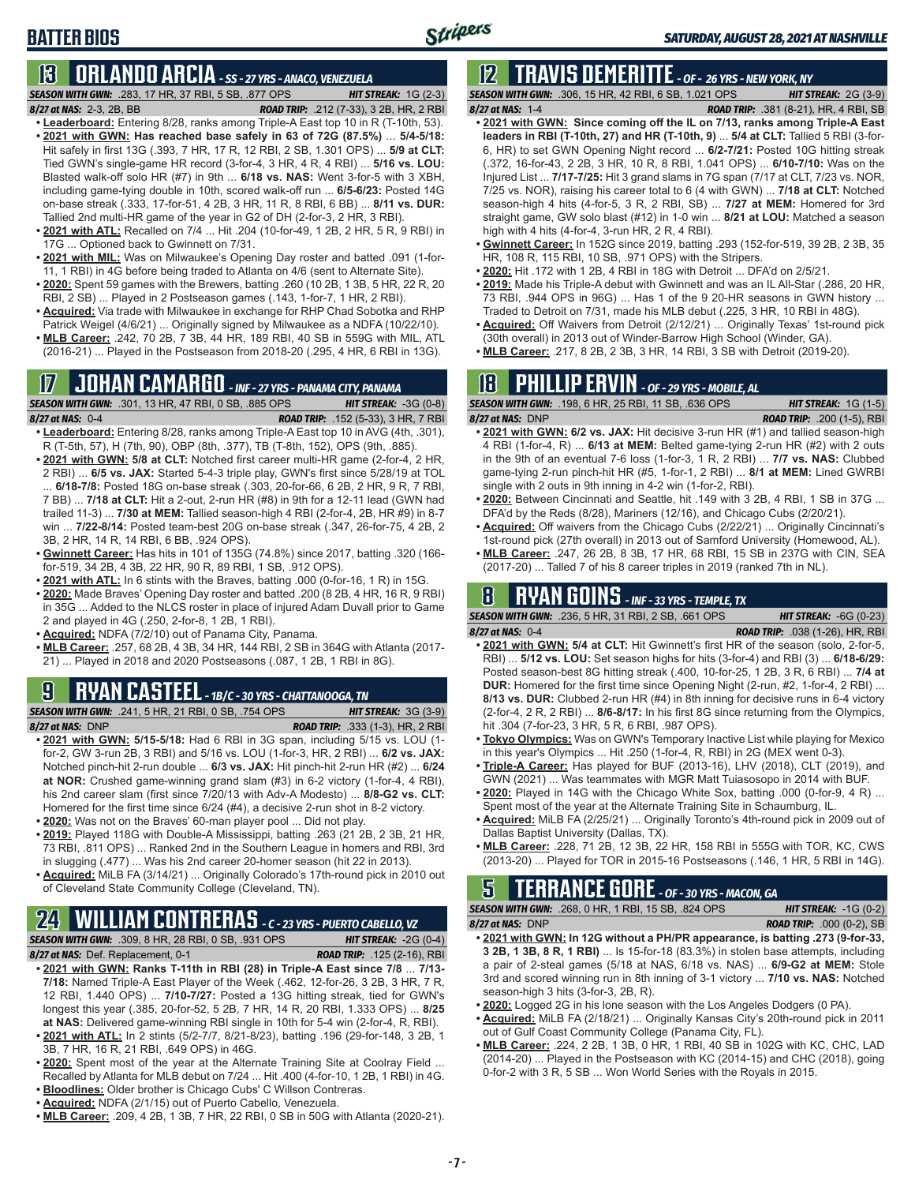# **BATTER BIOS**

# **13 ORLANDO ARCIA** *- SS - 27 YRS - ANACO, VENEZUELA*

- *SEASON WITH GWN:*.283, 17 HR, 37 RBI, 5 SB, .877 OPS *HIT STREAK:* 1G (2-3)
- *8/27 at NAS:*2-3, 2B, BB *ROAD TRIP:* .212 (7-33), 3 2B, HR, 2 RBI **• Leaderboard:** Entering 8/28, ranks among Triple-A East top 10 in R (T-10th, 53). **• 2021 with GWN: Has reached base safely in 63 of 72G (87.5%)** ... **5/4-5/18:**  Hit safely in first 13G (.393, 7 HR, 17 R, 12 RBI, 2 SB, 1.301 OPS) ... **5/9 at CLT:** Tied GWN's single-game HR record (3-for-4, 3 HR, 4 R, 4 RBI) ... **5/16 vs. LOU:**
- Blasted walk-off solo HR (#7) in 9th ... **6/18 vs. NAS:** Went 3-for-5 with 3 XBH, including game-tying double in 10th, scored walk-off run ... **6/5-6/23:** Posted 14G on-base streak (.333, 17-for-51, 4 2B, 3 HR, 11 R, 8 RBI, 6 BB) ... **8/11 vs. DUR:** Tallied 2nd multi-HR game of the year in G2 of DH (2-for-3, 2 HR, 3 RBI).
- **• 2021 with ATL:** Recalled on 7/4 ... Hit .204 (10-for-49, 1 2B, 2 HR, 5 R, 9 RBI) in 17G ... Optioned back to Gwinnett on 7/31.
- **• 2021 with MIL:** Was on Milwaukee's Opening Day roster and batted .091 (1-for-11, 1 RBI) in 4G before being traded to Atlanta on 4/6 (sent to Alternate Site).
- **• 2020:** Spent 59 games with the Brewers, batting .260 (10 2B, 1 3B, 5 HR, 22 R, 20 RBI, 2 SB) ... Played in 2 Postseason games (.143, 1-for-7, 1 HR, 2 RBI).
- **• Acquired:** Via trade with Milwaukee in exchange for RHP Chad Sobotka and RHP Patrick Weigel (4/6/21) ... Originally signed by Milwaukee as a NDFA (10/22/10).
- **• MLB Career:** .242, 70 2B, 7 3B, 44 HR, 189 RBI, 40 SB in 559G with MIL, ATL (2016-21) ... Played in the Postseason from 2018-20 (.295, 4 HR, 6 RBI in 13G).

# **17 JOHAN CAMARGO** *- INF - 27 YRS - PANAMA CITY, PANAMA*

*SEASON WITH GWN:*.301, 13 HR, 47 RBI, 0 SB, .885 OPS *HIT STREAK:* -3G (0-8) *8/27 at NAS:* 0-4 *ROAD TRIP:* .152 (5-33), 3 HR, 7 RBI

- **• Leaderboard:** Entering 8/28, ranks among Triple-A East top 10 in AVG (4th, .301), R (T-5th, 57), H (7th, 90), OBP (8th, .377), TB (T-8th, 152), OPS (9th, .885).
- **• 2021 with GWN: 5/8 at CLT:** Notched first career multi-HR game (2-for-4, 2 HR, 2 RBI) ... **6/5 vs. JAX:** Started 5-4-3 triple play, GWN's first since 5/28/19 at TOL ... **6/18-7/8:** Posted 18G on-base streak (.303, 20-for-66, 6 2B, 2 HR, 9 R, 7 RBI, 7 BB) ... **7/18 at CLT:** Hit a 2-out, 2-run HR (#8) in 9th for a 12-11 lead (GWN had trailed 11-3) ... **7/30 at MEM:** Tallied season-high 4 RBI (2-for-4, 2B, HR #9) in 8-7 win ... **7/22-8/14:** Posted team-best 20G on-base streak (.347, 26-for-75, 4 2B, 2 3B, 2 HR, 14 R, 14 RBI, 6 BB, .924 OPS).
- **• Gwinnett Career:** Has hits in 101 of 135G (74.8%) since 2017, batting .320 (166 for-519, 34 2B, 4 3B, 22 HR, 90 R, 89 RBI, 1 SB, .912 OPS).
- **• 2021 with ATL:** In 6 stints with the Braves, batting .000 (0-for-16, 1 R) in 15G.
- **• 2020:** Made Braves' Opening Day roster and batted .200 (8 2B, 4 HR, 16 R, 9 RBI) in 35G ... Added to the NLCS roster in place of injured Adam Duvall prior to Game 2 and played in 4G (.250, 2-for-8, 1 2B, 1 RBI).
- **• Acquired:** NDFA (7/2/10) out of Panama City, Panama.
- **• MLB Career:** .257, 68 2B, 4 3B, 34 HR, 144 RBI, 2 SB in 364G with Atlanta (2017- 21) ... Played in 2018 and 2020 Postseasons (.087, 1 2B, 1 RBI in 8G).

# **9 RYAN CASTEEL** *- 1B/C - 30 YRS - CHATTANOOGA, TN*

*SEASON WITH GWN:*.241, 5 HR, 21 RBI, 0 SB, .754 OPS *HIT STREAK:* 3G (3-9)

- *8/27 at NAS:*DNP *ROAD TRIP:* .333 (1-3), HR, 2 RBI **• 2021 with GWN: 5/15-5/18:** Had 6 RBI in 3G span, including 5/15 vs. LOU (1 for-2, GW 3-run 2B, 3 RBI) and 5/16 vs. LOU (1-for-3, HR, 2 RBI) ... **6/2 vs. JAX:** Notched pinch-hit 2-run double ... **6/3 vs. JAX:** Hit pinch-hit 2-run HR (#2) ... **6/24 at NOR:** Crushed game-winning grand slam (#3) in 6-2 victory (1-for-4, 4 RBI), his 2nd career slam (first since 7/20/13 with Adv-A Modesto) ... **8/8-G2 vs. CLT:** Homered for the first time since 6/24 (#4), a decisive 2-run shot in 8-2 victory.
- **• 2020:** Was not on the Braves' 60-man player pool ... Did not play.
- **• 2019:** Played 118G with Double-A Mississippi, batting .263 (21 2B, 2 3B, 21 HR, 73 RBI, .811 OPS) ... Ranked 2nd in the Southern League in homers and RBI, 3rd in slugging (.477) ... Was his 2nd career 20-homer season (hit 22 in 2013).
- **• Acquired:** MiLB FA (3/14/21) ... Originally Colorado's 17th-round pick in 2010 out of Cleveland State Community College (Cleveland, TN).

# **24 WILLIAM CONTRERAS** *- C - 23 YRS - PUERTO CABELLO, VZ*

*SEASON WITH GWN:*.309, 8 HR, 28 RBI, 0 SB, .931 OPS *HIT STREAK:* -2G (0-4) *8/27 at NAS:* Def. Replacement, 0-1 *ROAD TRIP:* .125 (2-16), RBI

- **• 2021 with GWN: Ranks T-11th in RBI (28) in Triple-A East since 7/8** ... **7/13- 7/18:** Named Triple-A East Player of the Week (.462, 12-for-26, 3 2B, 3 HR, 7 R, 12 RBI, 1.440 OPS) ... **7/10-7/27:** Posted a 13G hitting streak, tied for GWN's longest this year (.385, 20-for-52, 5 2B, 7 HR, 14 R, 20 RBI, 1.333 OPS) ... **8/25 at NAS:** Delivered game-winning RBI single in 10th for 5-4 win (2-for-4, R, RBI).
- **• 2021 with ATL:** In 2 stints (5/2-7/7, 8/21-8/23), batting .196 (29-for-148, 3 2B, 1 3B, 7 HR, 16 R, 21 RBI, .649 OPS) in 46G.
- **• 2020:** Spent most of the year at the Alternate Training Site at Coolray Field ... Recalled by Atlanta for MLB debut on 7/24 ... Hit .400 (4-for-10, 1 2B, 1 RBI) in 4G.
- **• Bloodlines:** Older brother is Chicago Cubs' C Willson Contreras.
- **• Acquired:** NDFA (2/1/15) out of Puerto Cabello, Venezuela.
- **• MLB Career:** .209, 4 2B, 1 3B, 7 HR, 22 RBI, 0 SB in 50G with Atlanta (2020-21).

# **12 TRAVIS DEMERITTE** *- OF - 26 YRS - NEW YORK, NY*

*SEASON WITH GWN:*.306, 15 HR, 42 RBI, 6 SB, 1.021 OPS *HIT STREAK:* 2G (3-9) *8/27 at NAS:*1-4 *ROAD TRIP:* .381 (8-21), HR, 4 RBI, SB

- **• 2021 with GWN: Since coming off the IL on 7/13, ranks among Triple-A East leaders in RBI (T-10th, 27) and HR (T-10th, 9)** ... **5/4 at CLT:** Tallied 5 RBI (3-for-6, HR) to set GWN Opening Night record ... **6/2-7/21:** Posted 10G hitting streak (.372, 16-for-43, 2 2B, 3 HR, 10 R, 8 RBI, 1.041 OPS) ... **6/10-7/10:** Was on the Injured List ... **7/17-7/25:** Hit 3 grand slams in 7G span (7/17 at CLT, 7/23 vs. NOR, 7/25 vs. NOR), raising his career total to 6 (4 with GWN) ... **7/18 at CLT:** Notched season-high 4 hits (4-for-5, 3 R, 2 RBI, SB) ... **7/27 at MEM:** Homered for 3rd straight game, GW solo blast (#12) in 1-0 win ... **8/21 at LOU:** Matched a season high with 4 hits (4-for-4, 3-run HR, 2 R, 4 RBI).
- **• Gwinnett Career:** In 152G since 2019, batting .293 (152-for-519, 39 2B, 2 3B, 35 HR, 108 R, 115 RBI, 10 SB, .971 OPS) with the Stripers.
- **• 2020:** Hit .172 with 1 2B, 4 RBI in 18G with Detroit ... DFA'd on 2/5/21.
- **• 2019:** Made his Triple-A debut with Gwinnett and was an IL All-Star (.286, 20 HR, 73 RBI, .944 OPS in 96G) ... Has 1 of the 9 20-HR seasons in GWN history ... Traded to Detroit on 7/31, made his MLB debut (.225, 3 HR, 10 RBI in 48G).
- **• Acquired:** Off Waivers from Detroit (2/12/21) ... Originally Texas' 1st-round pick (30th overall) in 2013 out of Winder-Barrow High School (Winder, GA).
- **• MLB Career:** .217, 8 2B, 2 3B, 3 HR, 14 RBI, 3 SB with Detroit (2019-20).

# **18 PHILLIP ERVIN** *- OF - 29 YRS - MOBILE, AL*

*SEASON WITH GWN:*.198, 6 HR, 25 RBI, 11 SB, .636 OPS *HIT STREAK:* 1G (1-5) *8/27 at NAS:*DNP *ROAD TRIP:* .200 (1-5), RBI

- **• 2021 with GWN: 6/2 vs. JAX:** Hit decisive 3-run HR (#1) and tallied season-high 4 RBI (1-for-4, R) ... **6/13 at MEM:** Belted game-tying 2-run HR (#2) with 2 outs in the 9th of an eventual 7-6 loss (1-for-3, 1 R, 2 RBI) ... **7/7 vs. NAS:** Clubbed game-tying 2-run pinch-hit HR (#5, 1-for-1, 2 RBI) ... **8/1 at MEM:** Lined GWRBI single with 2 outs in 9th inning in 4-2 win (1-for-2, RBI).
- **• 2020:** Between Cincinnati and Seattle, hit .149 with 3 2B, 4 RBI, 1 SB in 37G ... DFA'd by the Reds (8/28), Mariners (12/16), and Chicago Cubs (2/20/21).
- **• Acquired:** Off waivers from the Chicago Cubs (2/22/21) ... Originally Cincinnati's 1st-round pick (27th overall) in 2013 out of Samford University (Homewood, AL).
- **• MLB Career:** .247, 26 2B, 8 3B, 17 HR, 68 RBI, 15 SB in 237G with CIN, SEA (2017-20) ... Talled 7 of his 8 career triples in 2019 (ranked 7th in NL).

### **8 RYAN GOINS** *- INF - 33 YRS - TEMPLE, TX*

*SEASON WITH GWN:*.236, 5 HR, 31 RBI, 2 SB, .661 OPS *HIT STREAK:* -6G (0-23)

- *8/27 at NAS:*0-4 *ROAD TRIP:* .038 (1-26), HR, RBI **• 2021 with GWN: 5/4 at CLT:** Hit Gwinnett's first HR of the season (solo, 2-for-5, RBI) ... **5/12 vs. LOU:** Set season highs for hits (3-for-4) and RBI (3) ... **6/18-6/29:** Posted season-best 8G hitting streak (.400, 10-for-25, 1 2B, 3 R, 6 RBI) ... **7/4 at DUR:** Homered for the first time since Opening Night (2-run, #2, 1-for-4, 2 RBI) ... **8/13 vs. DUR:** Clubbed 2-run HR (#4) in 8th inning for decisive runs in 6-4 victory (2-for-4, 2 R, 2 RBI) ... **8/6-8/17:** In his first 8G since returning from the Olympics, hit .304 (7-for-23, 3 HR, 5 R, 6 RBI, .987 OPS).
- **• Tokyo Olympics:** Was on GWN's Temporary Inactive List while playing for Mexico in this year's Olympics ... Hit .250 (1-for-4, R, RBI) in 2G (MEX went 0-3).
- **• Triple-A Career:** Has played for BUF (2013-16), LHV (2018), CLT (2019), and GWN (2021) ... Was teammates with MGR Matt Tuiasosopo in 2014 with BUF.
- **• 2020:** Played in 14G with the Chicago White Sox, batting .000 (0-for-9, 4 R) ... Spent most of the year at the Alternate Training Site in Schaumburg, IL.
- **• Acquired:** MiLB FA (2/25/21) ... Originally Toronto's 4th-round pick in 2009 out of Dallas Baptist University (Dallas, TX).
- **• MLB Career:** .228, 71 2B, 12 3B, 22 HR, 158 RBI in 555G with TOR, KC, CWS (2013-20) ... Played for TOR in 2015-16 Postseasons (.146, 1 HR, 5 RBI in 14G).

#### **5 TERRANCE GORE** *- OF - 30 YRS - MACON, GA SEASON WITH GWN:*.268, 0 HR, 1 RBI, 15 SB, .824 OPS *HIT STREAK:* -1G (0-2)

*8/27 at NAS:*DNP *ROAD TRIP:* .000 (0-2), SB

- **• 2021 with GWN: In 12G without a PH/PR appearance, is batting .273 (9-for-33, 3 2B, 1 3B, 8 R, 1 RBI)** ... Is 15-for-18 (83.3%) in stolen base attempts, including a pair of 2-steal games (5/18 at NAS, 6/18 vs. NAS) ... **6/9-G2 at MEM:** Stole 3rd and scored winning run in 8th inning of 3-1 victory ... **7/10 vs. NAS:** Notched season-high 3 hits (3-for-3, 2B, R).
- **• 2020:** Logged 2G in his lone season with the Los Angeles Dodgers (0 PA).
- **• Acquired:** MiLB FA (2/18/21) ... Originally Kansas City's 20th-round pick in 2011 out of Gulf Coast Community College (Panama City, FL).
- **• MLB Career:** .224, 2 2B, 1 3B, 0 HR, 1 RBI, 40 SB in 102G with KC, CHC, LAD (2014-20) ... Played in the Postseason with KC (2014-15) and CHC (2018), going 0-for-2 with 3 R, 5 SB ... Won World Series with the Royals in 2015.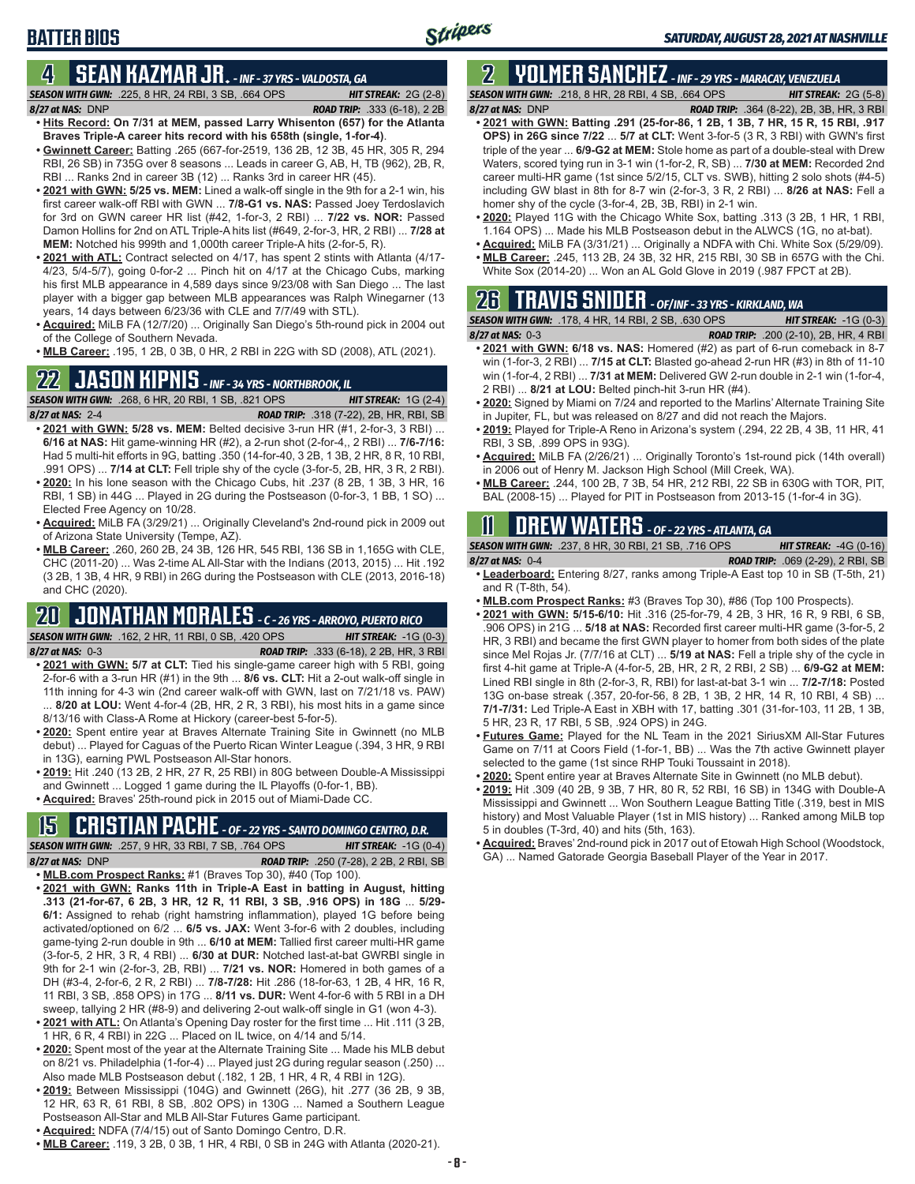### **BATTER BIOS**

#### **4 SEAN KAZMAR JR.** *- INF - 37 YRS - VALDOSTA, GA*

*SEASON WITH GWN:*.225, 8 HR, 24 RBI, 3 SB, .664 OPS *HIT STREAK:* 2G (2-8) *8/27 at NAS:*DNP *ROAD TRIP:* .333 (6-18), 2 2B

- **• Hits Record: On 7/31 at MEM, passed Larry Whisenton (657) for the Atlanta Braves Triple-A career hits record with his 658th (single, 1-for-4)**. **• Gwinnett Career:** Batting .265 (667-for-2519, 136 2B, 12 3B, 45 HR, 305 R, 294
- RBI, 26 SB) in 735G over 8 seasons ... Leads in career G, AB, H, TB (962), 2B, R, RBI ... Ranks 2nd in career 3B (12) ... Ranks 3rd in career HR (45).
- **• 2021 with GWN: 5/25 vs. MEM:** Lined a walk-off single in the 9th for a 2-1 win, his first career walk-off RBI with GWN ... **7/8-G1 vs. NAS:** Passed Joey Terdoslavich for 3rd on GWN career HR list (#42, 1-for-3, 2 RBI) ... **7/22 vs. NOR:** Passed Damon Hollins for 2nd on ATL Triple-A hits list (#649, 2-for-3, HR, 2 RBI) ... **7/28 at MEM:** Notched his 999th and 1,000th career Triple-A hits (2-for-5, R).
- **• 2021 with ATL:** Contract selected on 4/17, has spent 2 stints with Atlanta (4/17- 4/23, 5/4-5/7), going 0-for-2 ... Pinch hit on 4/17 at the Chicago Cubs, marking his first MLB appearance in 4,589 days since 9/23/08 with San Diego ... The last player with a bigger gap between MLB appearances was Ralph Winegarner (13 years, 14 days between 6/23/36 with CLE and 7/7/49 with STL).
- **• Acquired:** MiLB FA (12/7/20) ... Originally San Diego's 5th-round pick in 2004 out of the College of Southern Nevada.
- **• MLB Career:** .195, 1 2B, 0 3B, 0 HR, 2 RBI in 22G with SD (2008), ATL (2021).

# **22 JASON KIPNIS** *- INF - 34 YRS - NORTHBROOK, IL*

*SEASON WITH GWN:*.268, 6 HR, 20 RBI, 1 SB, .821 OPS *HIT STREAK:* 1G (2-4) *8/27 at NAS:*2-4 *ROAD TRIP:* .318 (7-22), 2B, HR, RBI, SB

- **• 2021 with GWN: 5/28 vs. MEM:** Belted decisive 3-run HR (#1, 2-for-3, 3 RBI) ... **6/16 at NAS:** Hit game-winning HR (#2), a 2-run shot (2-for-4,, 2 RBI) ... **7/6-7/16:** Had 5 multi-hit efforts in 9G, batting .350 (14-for-40, 3 2B, 1 3B, 2 HR, 8 R, 10 RBI, .991 OPS) ... **7/14 at CLT:** Fell triple shy of the cycle (3-for-5, 2B, HR, 3 R, 2 RBI).
- **• 2020:** In his lone season with the Chicago Cubs, hit .237 (8 2B, 1 3B, 3 HR, 16 RBI, 1 SB) in 44G ... Played in 2G during the Postseason (0-for-3, 1 BB, 1 SO) ... Elected Free Agency on 10/28.
- **• Acquired:** MiLB FA (3/29/21) ... Originally Cleveland's 2nd-round pick in 2009 out of Arizona State University (Tempe, AZ).
- **• MLB Career:** .260, 260 2B, 24 3B, 126 HR, 545 RBI, 136 SB in 1,165G with CLE, CHC (2011-20) ... Was 2-time AL All-Star with the Indians (2013, 2015) ... Hit .192 (3 2B, 1 3B, 4 HR, 9 RBI) in 26G during the Postseason with CLE (2013, 2016-18) and CHC (2020).

#### **20 JONATHAN MORALES** *- C - 26 YRS - ARROYO, PUERTO RICO SEASON WITH GWN:*.162, 2 HR, 11 RBI, 0 SB, .420 OPS *HIT STREAK:* -1G (0-3)

- *8/27 at NAS:*0-3 *ROAD TRIP:* .333 (6-18), 2 2B, HR, 3 RBI **• 2021 with GWN: 5/7 at CLT:** Tied his single-game career high with 5 RBI, going 2-for-6 with a 3-run HR (#1) in the 9th ... **8/6 vs. CLT:** Hit a 2-out walk-off single in 11th inning for 4-3 win (2nd career walk-off with GWN, last on 7/21/18 vs. PAW) ... **8/20 at LOU:** Went 4-for-4 (2B, HR, 2 R, 3 RBI), his most hits in a game since 8/13/16 with Class-A Rome at Hickory (career-best 5-for-5).
- **• 2020:** Spent entire year at Braves Alternate Training Site in Gwinnett (no MLB debut) ... Played for Caguas of the Puerto Rican Winter League (.394, 3 HR, 9 RBI in 13G), earning PWL Postseason All-Star honors.
- **• 2019:** Hit .240 (13 2B, 2 HR, 27 R, 25 RBI) in 80G between Double-A Mississippi and Gwinnett ... Logged 1 game during the IL Playoffs (0-for-1, BB).
- **• Acquired:** Braves' 25th-round pick in 2015 out of Miami-Dade CC.

# **15 CRISTIAN PACHE** *- OF - 22 YRS - SANTO DOMINGO CENTRO, D.R.*

*SEASON WITH GWN:*.257, 9 HR, 33 RBI, 7 SB, .764 OPS *HIT STREAK:* -1G (0-4) *8/27 at NAS:* DNP *ROAD TRIP:* .250 (7-28), 2 2B, 2 RBI, SB

- **• MLB.com Prospect Ranks:** #1 (Braves Top 30), #40 (Top 100).
- **• 2021 with GWN: Ranks 11th in Triple-A East in batting in August, hitting .313 (21-for-67, 6 2B, 3 HR, 12 R, 11 RBI, 3 SB, .916 OPS) in 18G** ... **5/29- 6/1:** Assigned to rehab (right hamstring inflammation), played 1G before being activated/optioned on 6/2 ... **6/5 vs. JAX:** Went 3-for-6 with 2 doubles, including game-tying 2-run double in 9th ... **6/10 at MEM:** Tallied first career multi-HR game (3-for-5, 2 HR, 3 R, 4 RBI) ... **6/30 at DUR:** Notched last-at-bat GWRBI single in 9th for 2-1 win (2-for-3, 2B, RBI) ... **7/21 vs. NOR:** Homered in both games of a DH (#3-4, 2-for-6, 2 R, 2 RBI) ... **7/8-7/28:** Hit .286 (18-for-63, 1 2B, 4 HR, 16 R, 11 RBI, 3 SB, .858 OPS) in 17G ... **8/11 vs. DUR:** Went 4-for-6 with 5 RBI in a DH sweep, tallying 2 HR (#8-9) and delivering 2-out walk-off single in G1 (won 4-3).
- **• 2021 with ATL:** On Atlanta's Opening Day roster for the first time ... Hit .111 (3 2B, 1 HR, 6 R, 4 RBI) in 22G ... Placed on IL twice, on 4/14 and 5/14.
- **• 2020:** Spent most of the year at the Alternate Training Site ... Made his MLB debut on 8/21 vs. Philadelphia (1-for-4) ... Played just 2G during regular season (.250) ... Also made MLB Postseason debut (.182, 1 2B, 1 HR, 4 R, 4 RBI in 12G).
- **• 2019:** Between Mississippi (104G) and Gwinnett (26G), hit .277 (36 2B, 9 3B, 12 HR, 63 R, 61 RBI, 8 SB, .802 OPS) in 130G ... Named a Southern League Postseason All-Star and MLB All-Star Futures Game participant.
- **• Acquired:** NDFA (7/4/15) out of Santo Domingo Centro, D.R.
- **• MLB Career:** .119, 3 2B, 0 3B, 1 HR, 4 RBI, 0 SB in 24G with Atlanta (2020-21).

#### **2 YOLMER SANCHEZ** *- INF - 29 YRS - MARACAY, VENEZUELA SEASON WITH GWN:*.218, 8 HR, 28 RBI, 4 SB, .664 OPS *HIT STREAK:* 2G (5-8)

*8/27 at NAS:*DNP *ROAD TRIP:* .364 (8-22), 2B, 3B, HR, 3 RBI

- **• 2021 with GWN: Batting .291 (25-for-86, 1 2B, 1 3B, 7 HR, 15 R, 15 RBI, .917 OPS) in 26G since 7/22** ... **5/7 at CLT:** Went 3-for-5 (3 R, 3 RBI) with GWN's first triple of the year ... **6/9-G2 at MEM:** Stole home as part of a double-steal with Drew Waters, scored tying run in 3-1 win (1-for-2, R, SB) ... **7/30 at MEM:** Recorded 2nd career multi-HR game (1st since 5/2/15, CLT vs. SWB), hitting 2 solo shots (#4-5) including GW blast in 8th for 8-7 win (2-for-3, 3 R, 2 RBI) ... **8/26 at NAS:** Fell a homer shy of the cycle (3-for-4, 2B, 3B, RBI) in 2-1 win.
- **• 2020:** Played 11G with the Chicago White Sox, batting .313 (3 2B, 1 HR, 1 RBI, 1.164 OPS) ... Made his MLB Postseason debut in the ALWCS (1G, no at-bat).
- **• Acquired:** MiLB FA (3/31/21) ... Originally a NDFA with Chi. White Sox (5/29/09). **• MLB Career:** .245, 113 2B, 24 3B, 32 HR, 215 RBI, 30 SB in 657G with the Chi.
- White Sox (2014-20) ... Won an AL Gold Glove in 2019 (.987 FPCT at 2B).

# **26 TRAVIS SNIDER** *- OF/INF - 33 YRS - KIRKLAND, WA*

| <b>SEASON WITH GWN: .178, 4 HR, 14 RBI, 2 SB, .630 OPS</b> | <b>HIT STREAK:</b> $-1G(0-3)$                |
|------------------------------------------------------------|----------------------------------------------|
| $8/27$ at NAS: $0-3$                                       | <b>ROAD TRIP:</b> .200 (2-10), 2B, HR, 4 RBI |

- **• 2021 with GWN: 6/18 vs. NAS:** Homered (#2) as part of 6-run comeback in 8-7 win (1-for-3, 2 RBI) ... **7/15 at CLT:** Blasted go-ahead 2-run HR (#3) in 8th of 11-10 win (1-for-4, 2 RBI) ... **7/31 at MEM:** Delivered GW 2-run double in 2-1 win (1-for-4, 2 RBI) ... **8/21 at LOU:** Belted pinch-hit 3-run HR (#4).
- **• 2020:** Signed by Miami on 7/24 and reported to the Marlins' Alternate Training Site in Jupiter, FL, but was released on 8/27 and did not reach the Majors.
- **• 2019:** Played for Triple-A Reno in Arizona's system (.294, 22 2B, 4 3B, 11 HR, 41 RBI, 3 SB, .899 OPS in 93G).
- **• Acquired:** MiLB FA (2/26/21) ... Originally Toronto's 1st-round pick (14th overall) in 2006 out of Henry M. Jackson High School (Mill Creek, WA).
- **• MLB Career:** .244, 100 2B, 7 3B, 54 HR, 212 RBI, 22 SB in 630G with TOR, PIT, BAL (2008-15) ... Played for PIT in Postseason from 2013-15 (1-for-4 in 3G).

# **11 Drew WATERS** *- OF - 22 YRS - ATLANTA, GA*

*SEASON WITH GWN:*.237, 8 HR, 30 RBI, 21 SB, .716 OPS *HIT STREAK:* -4G (0-16) *8/27 at NAS:*0-4 *ROAD TRIP:* .069 (2-29), 2 RBI, SB

- **• Leaderboard:** Entering 8/27, ranks among Triple-A East top 10 in SB (T-5th, 21) and R (T-8th, 54).
- **• MLB.com Prospect Ranks:** #3 (Braves Top 30), #86 (Top 100 Prospects).
- **• 2021 with GWN: 5/15-6/10:** Hit .316 (25-for-79, 4 2B, 3 HR, 16 R, 9 RBI, 6 SB, .906 OPS) in 21G ... **5/18 at NAS:** Recorded first career multi-HR game (3-for-5, 2 HR, 3 RBI) and became the first GWN player to homer from both sides of the plate since Mel Rojas Jr. (7/7/16 at CLT) ... **5/19 at NAS:** Fell a triple shy of the cycle in first 4-hit game at Triple-A (4-for-5, 2B, HR, 2 R, 2 RBI, 2 SB) ... **6/9-G2 at MEM:** Lined RBI single in 8th (2-for-3, R, RBI) for last-at-bat 3-1 win ... **7/2-7/18:** Posted 13G on-base streak (.357, 20-for-56, 8 2B, 1 3B, 2 HR, 14 R, 10 RBI, 4 SB) ... **7/1-7/31:** Led Triple-A East in XBH with 17, batting .301 (31-for-103, 11 2B, 1 3B, 5 HR, 23 R, 17 RBI, 5 SB, .924 OPS) in 24G.
- **• Futures Game:** Played for the NL Team in the 2021 SiriusXM All-Star Futures Game on 7/11 at Coors Field (1-for-1, BB) ... Was the 7th active Gwinnett player selected to the game (1st since RHP Touki Toussaint in 2018).
- **• 2020:** Spent entire year at Braves Alternate Site in Gwinnett (no MLB debut).
- **• 2019:** Hit .309 (40 2B, 9 3B, 7 HR, 80 R, 52 RBI, 16 SB) in 134G with Double-A Mississippi and Gwinnett ... Won Southern League Batting Title (.319, best in MIS history) and Most Valuable Player (1st in MIS history) ... Ranked among MiLB top 5 in doubles (T-3rd, 40) and hits (5th, 163).
- **• Acquired:** Braves' 2nd-round pick in 2017 out of Etowah High School (Woodstock, GA) ... Named Gatorade Georgia Baseball Player of the Year in 2017.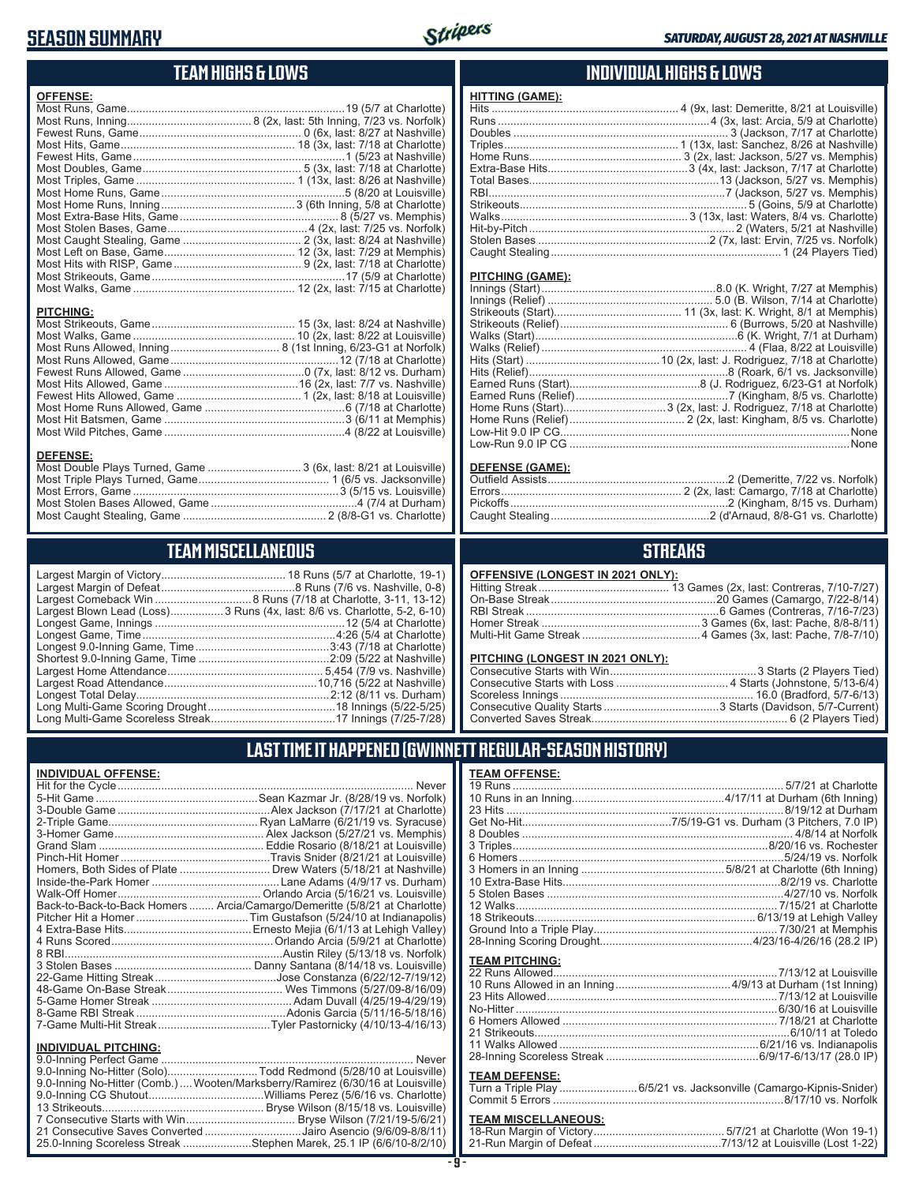### **SEASON SUMMARY**



### **TEAM HIGHS & LOWS**

| <b>OFFENSE:</b>                                                                     |  |
|-------------------------------------------------------------------------------------|--|
|                                                                                     |  |
|                                                                                     |  |
|                                                                                     |  |
|                                                                                     |  |
|                                                                                     |  |
|                                                                                     |  |
|                                                                                     |  |
|                                                                                     |  |
|                                                                                     |  |
|                                                                                     |  |
|                                                                                     |  |
|                                                                                     |  |
|                                                                                     |  |
|                                                                                     |  |
|                                                                                     |  |
|                                                                                     |  |
| <b>PITCHING:</b>                                                                    |  |
| <b>DEFENSE:</b><br>Most Double Plays Turned, Game  3 (6x, last: 8/21 at Louisville) |  |

### **TEAM MISCELLANEOUS**

Most Caught Stealing, Game .............................................. 2 (8/8-G1 vs. Charlotte)

| Largest Blown Lead (Loss) 3 Runs (4x, last: 8/6 vs. Charlotte, 5-2, 6-10) |
|---------------------------------------------------------------------------|
|                                                                           |
|                                                                           |
|                                                                           |
|                                                                           |
|                                                                           |
|                                                                           |
|                                                                           |
|                                                                           |
|                                                                           |

### **INDIVIDUAL HIGHS & LOWS**

#### **PITCHING (GAME):**

#### **DEFENSE (GAME):**

### **STREAKS**

#### **OFFENSIVE (LONGEST IN 2021 ONLY):**

#### **PITCHING (LONGEST IN 2021 ONLY):**

### **LAST TIME IT HAPPENED (GWINNETT REGULAR-SEASON HISTORY)**

| <b>INDIVIDUAL OFFENSE:</b>  |                                                                            |
|-----------------------------|----------------------------------------------------------------------------|
|                             |                                                                            |
|                             |                                                                            |
|                             |                                                                            |
|                             |                                                                            |
|                             |                                                                            |
|                             |                                                                            |
|                             |                                                                            |
|                             | Homers, Both Sides of Plate  Drew Waters (5/18/21 at Nashville)            |
|                             |                                                                            |
|                             |                                                                            |
|                             | Back-to-Back-to-Back Homers  Arcia/Camargo/Demeritte (5/8/21 at Charlotte) |
|                             |                                                                            |
|                             |                                                                            |
|                             |                                                                            |
|                             |                                                                            |
|                             |                                                                            |
|                             |                                                                            |
|                             |                                                                            |
|                             |                                                                            |
|                             |                                                                            |
|                             |                                                                            |
| <b>INDIVIDUAL PITCHING:</b> |                                                                            |
| 0.0 Inning Porfoot Camo     | Novor                                                                      |

| 9.0-Inning No-Hitter (Solo)Todd Redmond (5/28/10 at Louisville)                |  |
|--------------------------------------------------------------------------------|--|
| 9.0-Inning No-Hitter (Comb.) Wooten/Marksberry/Ramirez (6/30/16 at Louisville) |  |
|                                                                                |  |
|                                                                                |  |
|                                                                                |  |
| 21 Consecutive Saves Converted Jairo Asencio (9/6/09-8/8/11)                   |  |
| 25.0-Inning Scoreless Streak Stephen Marek, 25.1 IP (6/6/10-8/2/10)            |  |
|                                                                                |  |

#### **TEAM OFFENSE:**

| <b>TEAM PITCHING:</b> |                                                                     |
|-----------------------|---------------------------------------------------------------------|
|                       |                                                                     |
|                       |                                                                     |
|                       |                                                                     |
|                       |                                                                     |
|                       |                                                                     |
|                       |                                                                     |
|                       |                                                                     |
|                       |                                                                     |
|                       |                                                                     |
| <b>TEAM DEFENSE:</b>  |                                                                     |
|                       | Turn a Triple Play  6/5/21 vs. Jacksonville (Camargo-Kipnis-Snider) |
|                       |                                                                     |

# **TEAM MISCELLANEOUS:**<br>18-Run Margin of Victory.....

| 21-Run Margin of Defeat…………………………………7/13/12 at Louisville (Lost 1-22) |  |  |
|-----------------------------------------------------------------------|--|--|